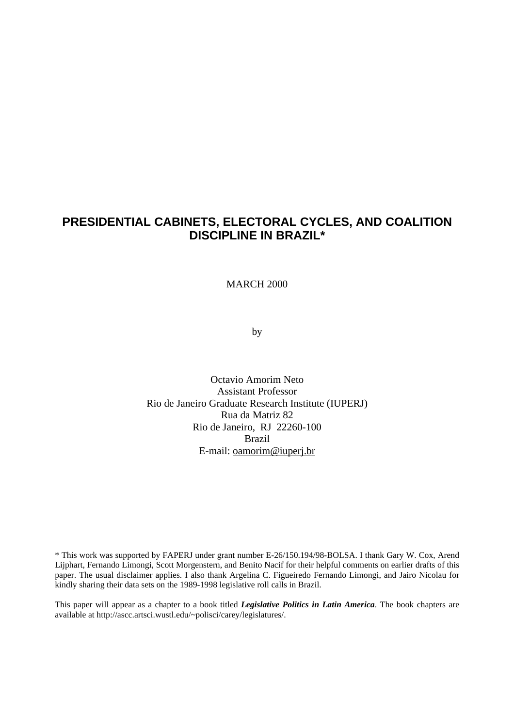# **PRESIDENTIAL CABINETS, ELECTORAL CYCLES, AND COALITION DISCIPLINE IN BRAZIL\***

MARCH 2000

by

Octavio Amorim Neto Assistant Professor Rio de Janeiro Graduate Research Institute (IUPERJ) Rua da Matriz 82 Rio de Janeiro, RJ 22260-100 Brazil E-mail: oamorim@iuperj.br

\* This work was supported by FAPERJ under grant number E-26/150.194/98-BOLSA. I thank Gary W. Cox, Arend Lijphart, Fernando Limongi, Scott Morgenstern, and Benito Nacif for their helpful comments on earlier drafts of this paper. The usual disclaimer applies. I also thank Argelina C. Figueiredo Fernando Limongi, and Jairo Nicolau for kindly sharing their data sets on the 1989-1998 legislative roll calls in Brazil.

This paper will appear as a chapter to a book titled *Legislative Politics in Latin America*. The book chapters are available at http://ascc.artsci.wustl.edu/~polisci/carey/legislatures/.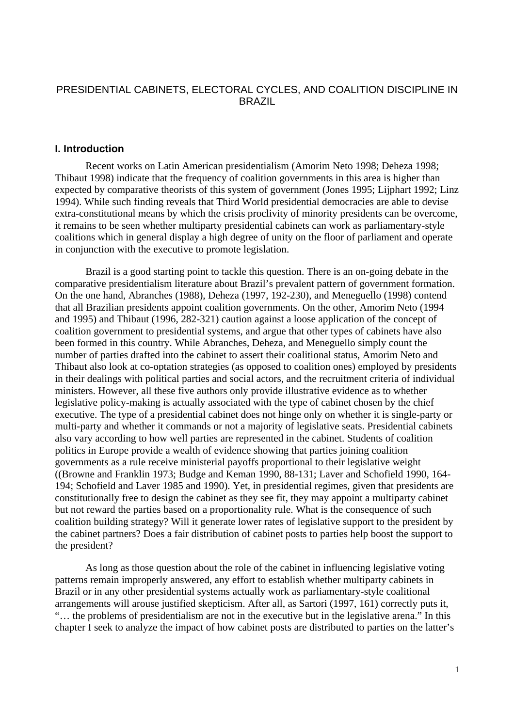## PRESIDENTIAL CABINETS, ELECTORAL CYCLES, AND COALITION DISCIPLINE IN BRAZIL

### **I. Introduction**

Recent works on Latin American presidentialism (Amorim Neto 1998; Deheza 1998; Thibaut 1998) indicate that the frequency of coalition governments in this area is higher than expected by comparative theorists of this system of government (Jones 1995; Lijphart 1992; Linz 1994). While such finding reveals that Third World presidential democracies are able to devise extra-constitutional means by which the crisis proclivity of minority presidents can be overcome, it remains to be seen whether multiparty presidential cabinets can work as parliamentary-style coalitions which in general display a high degree of unity on the floor of parliament and operate in conjunction with the executive to promote legislation.

Brazil is a good starting point to tackle this question. There is an on-going debate in the comparative presidentialism literature about Brazil's prevalent pattern of government formation. On the one hand, Abranches (1988), Deheza (1997, 192-230), and Meneguello (1998) contend that all Brazilian presidents appoint coalition governments. On the other, Amorim Neto (1994 and 1995) and Thibaut (1996, 282-321) caution against a loose application of the concept of coalition government to presidential systems, and argue that other types of cabinets have also been formed in this country. While Abranches, Deheza, and Meneguello simply count the number of parties drafted into the cabinet to assert their coalitional status, Amorim Neto and Thibaut also look at co-optation strategies (as opposed to coalition ones) employed by presidents in their dealings with political parties and social actors, and the recruitment criteria of individual ministers. However, all these five authors only provide illustrative evidence as to whether legislative policy-making is actually associated with the type of cabinet chosen by the chief executive. The type of a presidential cabinet does not hinge only on whether it is single-party or multi-party and whether it commands or not a majority of legislative seats. Presidential cabinets also vary according to how well parties are represented in the cabinet. Students of coalition politics in Europe provide a wealth of evidence showing that parties joining coalition governments as a rule receive ministerial payoffs proportional to their legislative weight ((Browne and Franklin 1973; Budge and Keman 1990, 88-131; Laver and Schofield 1990, 164- 194; Schofield and Laver 1985 and 1990). Yet, in presidential regimes, given that presidents are constitutionally free to design the cabinet as they see fit, they may appoint a multiparty cabinet but not reward the parties based on a proportionality rule. What is the consequence of such coalition building strategy? Will it generate lower rates of legislative support to the president by the cabinet partners? Does a fair distribution of cabinet posts to parties help boost the support to the president?

As long as those question about the role of the cabinet in influencing legislative voting patterns remain improperly answered, any effort to establish whether multiparty cabinets in Brazil or in any other presidential systems actually work as parliamentary-style coalitional arrangements will arouse justified skepticism. After all, as Sartori (1997, 161) correctly puts it, "… the problems of presidentialism are not in the executive but in the legislative arena." In this chapter I seek to analyze the impact of how cabinet posts are distributed to parties on the latter's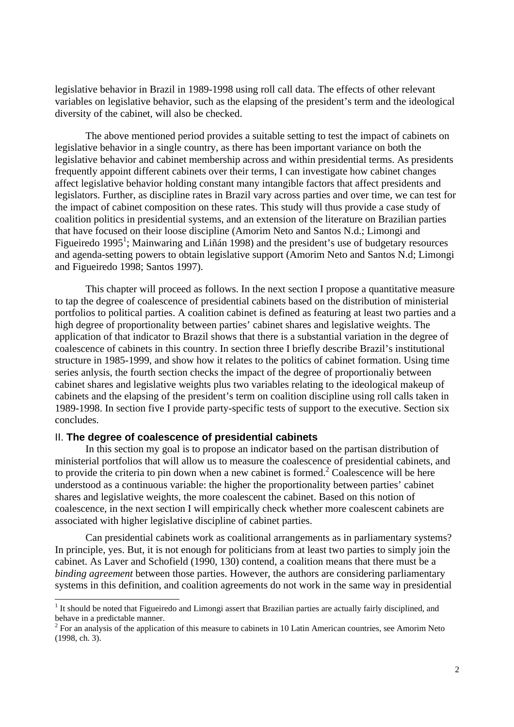legislative behavior in Brazil in 1989-1998 using roll call data. The effects of other relevant variables on legislative behavior, such as the elapsing of the president's term and the ideological diversity of the cabinet, will also be checked.

The above mentioned period provides a suitable setting to test the impact of cabinets on legislative behavior in a single country, as there has been important variance on both the legislative behavior and cabinet membership across and within presidential terms. As presidents frequently appoint different cabinets over their terms, I can investigate how cabinet changes affect legislative behavior holding constant many intangible factors that affect presidents and legislators. Further, as discipline rates in Brazil vary across parties and over time, we can test for the impact of cabinet composition on these rates. This study will thus provide a case study of coalition politics in presidential systems, and an extension of the literature on Brazilian parties that have focused on their loose discipline (Amorim Neto and Santos N.d.; Limongi and Figueiredo 1995<sup>1</sup>; Mainwaring and Liñán 1998) and the president's use of budgetary resources and agenda-setting powers to obtain legislative support (Amorim Neto and Santos N.d; Limongi and Figueiredo 1998; Santos 1997).

This chapter will proceed as follows. In the next section I propose a quantitative measure to tap the degree of coalescence of presidential cabinets based on the distribution of ministerial portfolios to political parties. A coalition cabinet is defined as featuring at least two parties and a high degree of proportionality between parties' cabinet shares and legislative weights. The application of that indicator to Brazil shows that there is a substantial variation in the degree of coalescence of cabinets in this country. In section three I briefly describe Brazil's institutional structure in 1985-1999, and show how it relates to the politics of cabinet formation. Using time series anlysis, the fourth section checks the impact of the degree of proportionaliy between cabinet shares and legislative weights plus two variables relating to the ideological makeup of cabinets and the elapsing of the president's term on coalition discipline using roll calls taken in 1989-1998. In section five I provide party-specific tests of support to the executive. Section six concludes.

### II. **The degree of coalescence of presidential cabinets**

In this section my goal is to propose an indicator based on the partisan distribution of ministerial portfolios that will allow us to measure the coalescence of presidential cabinets, and to provide the criteria to pin down when a new cabinet is formed.<sup>2</sup> Coalescence will be here understood as a continuous variable: the higher the proportionality between parties' cabinet shares and legislative weights, the more coalescent the cabinet. Based on this notion of coalescence, in the next section I will empirically check whether more coalescent cabinets are associated with higher legislative discipline of cabinet parties.

Can presidential cabinets work as coalitional arrangements as in parliamentary systems? In principle, yes. But, it is not enough for politicians from at least two parties to simply join the cabinet. As Laver and Schofield (1990, 130) contend, a coalition means that there must be a *binding agreement* between those parties. However, the authors are considering parliamentary systems in this definition, and coalition agreements do not work in the same way in presidential

<sup>&</sup>lt;sup>1</sup> It should be noted that Figueiredo and Limongi assert that Brazilian parties are actually fairly disciplined, and behave in a predictable manner.

 $2^{2}$  For an analysis of the application of this measure to cabinets in 10 Latin American countries, see Amorim Neto (1998, ch. 3).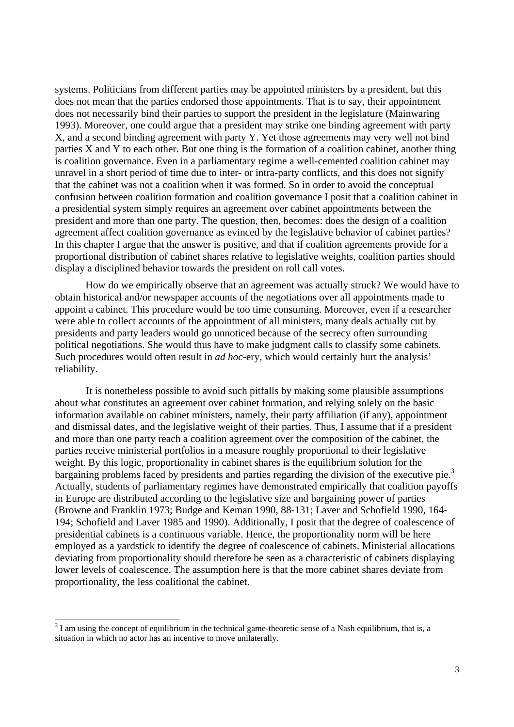systems. Politicians from different parties may be appointed ministers by a president, but this does not mean that the parties endorsed those appointments. That is to say, their appointment does not necessarily bind their parties to support the president in the legislature (Mainwaring 1993). Moreover, one could argue that a president may strike one binding agreement with party X, and a second binding agreement with party Y. Yet those agreements may very well not bind parties X and Y to each other. But one thing is the formation of a coalition cabinet, another thing is coalition governance. Even in a parliamentary regime a well-cemented coalition cabinet may unravel in a short period of time due to inter- or intra-party conflicts, and this does not signify that the cabinet was not a coalition when it was formed. So in order to avoid the conceptual confusion between coalition formation and coalition governance I posit that a coalition cabinet in a presidential system simply requires an agreement over cabinet appointments between the president and more than one party. The question, then, becomes: does the design of a coalition agreement affect coalition governance as evinced by the legislative behavior of cabinet parties? In this chapter I argue that the answer is positive, and that if coalition agreements provide for a proportional distribution of cabinet shares relative to legislative weights, coalition parties should display a disciplined behavior towards the president on roll call votes.

How do we empirically observe that an agreement was actually struck? We would have to obtain historical and/or newspaper accounts of the negotiations over all appointments made to appoint a cabinet. This procedure would be too time consuming. Moreover, even if a researcher were able to collect accounts of the appointment of all ministers, many deals actually cut by presidents and party leaders would go unnoticed because of the secrecy often surrounding political negotiations. She would thus have to make judgment calls to classify some cabinets. Such procedures would often result in *ad hoc*-ery, which would certainly hurt the analysis' reliability.

It is nonetheless possible to avoid such pitfalls by making some plausible assumptions about what constitutes an agreement over cabinet formation, and relying solely on the basic information available on cabinet ministers, namely, their party affiliation (if any), appointment and dismissal dates, and the legislative weight of their parties. Thus, I assume that if a president and more than one party reach a coalition agreement over the composition of the cabinet, the parties receive ministerial portfolios in a measure roughly proportional to their legislative weight. By this logic, proportionality in cabinet shares is the equilibrium solution for the bargaining problems faced by presidents and parties regarding the division of the executive pie.<sup>3</sup> Actually, students of parliamentary regimes have demonstrated empirically that coalition payoffs in Europe are distributed according to the legislative size and bargaining power of parties (Browne and Franklin 1973; Budge and Keman 1990, 88-131; Laver and Schofield 1990, 164- 194; Schofield and Laver 1985 and 1990). Additionally, I posit that the degree of coalescence of presidential cabinets is a continuous variable. Hence, the proportionality norm will be here employed as a yardstick to identify the degree of coalescence of cabinets. Ministerial allocations deviating from proportionality should therefore be seen as a characteristic of cabinets displaying lower levels of coalescence. The assumption here is that the more cabinet shares deviate from proportionality, the less coalitional the cabinet.

-

 $3$  I am using the concept of equilibrium in the technical game-theoretic sense of a Nash equilibrium, that is, a situation in which no actor has an incentive to move unilaterally.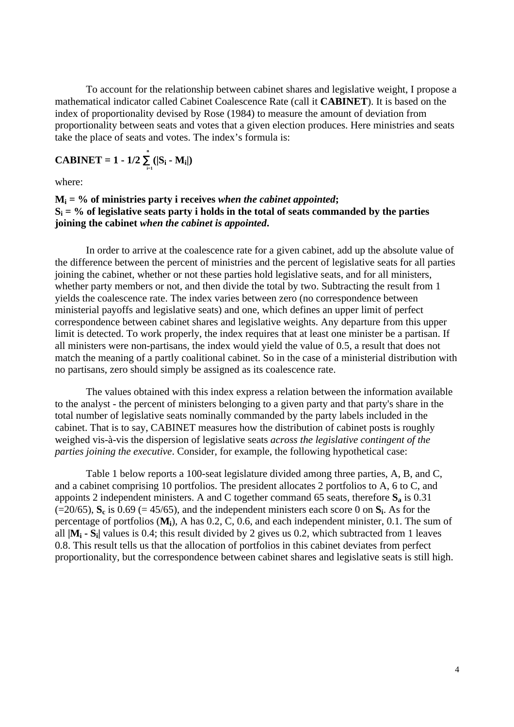To account for the relationship between cabinet shares and legislative weight, I propose a mathematical indicator called Cabinet Coalescence Rate (call it **CABINET**). It is based on the index of proportionality devised by Rose (1984) to measure the amount of deviation from proportionality between seats and votes that a given election produces. Here ministries and seats take the place of seats and votes. The index's formula is:

**CABINET** = 1 - 1/2 
$$
\sum_{i=1}^{n} (|S_i - M_i|)
$$

where:

### **M<sup>i</sup> = % of ministries party i receives** *when the cabinet appointed***; Si = % of legislative seats party i holds in the total of seats commanded by the parties joining the cabinet** *when the cabinet is appointed***.**

In order to arrive at the coalescence rate for a given cabinet, add up the absolute value of the difference between the percent of ministries and the percent of legislative seats for all parties joining the cabinet, whether or not these parties hold legislative seats, and for all ministers, whether party members or not, and then divide the total by two. Subtracting the result from 1 yields the coalescence rate. The index varies between zero (no correspondence between ministerial payoffs and legislative seats) and one, which defines an upper limit of perfect correspondence between cabinet shares and legislative weights. Any departure from this upper limit is detected. To work properly, the index requires that at least one minister be a partisan. If all ministers were non-partisans, the index would yield the value of 0.5, a result that does not match the meaning of a partly coalitional cabinet. So in the case of a ministerial distribution with no partisans, zero should simply be assigned as its coalescence rate.

The values obtained with this index express a relation between the information available to the analyst - the percent of ministers belonging to a given party and that party's share in the total number of legislative seats nominally commanded by the party labels included in the cabinet. That is to say, CABINET measures how the distribution of cabinet posts is roughly weighed vis-à-vis the dispersion of legislative seats *across the legislative contingent of the parties joining the executive*. Consider, for example, the following hypothetical case:

Table 1 below reports a 100-seat legislature divided among three parties, A, B, and C, and a cabinet comprising 10 portfolios. The president allocates 2 portfolios to A, 6 to C, and appoints 2 independent ministers. A and C together command 65 seats, therefore **Sa** is 0.31  $(=20/65)$ ,  $S_c$  is 0.69 ( $= 45/65$ ), and the independent ministers each score 0 on  $S_i$ . As for the percentage of portfolios (**Mi**), A has 0.2, C, 0.6, and each independent minister, 0.1. The sum of all **|M<sup>i</sup> - S<sup>i</sup> |** values is 0.4; this result divided by 2 gives us 0.2, which subtracted from 1 leaves 0.8. This result tells us that the allocation of portfolios in this cabinet deviates from perfect proportionality, but the correspondence between cabinet shares and legislative seats is still high.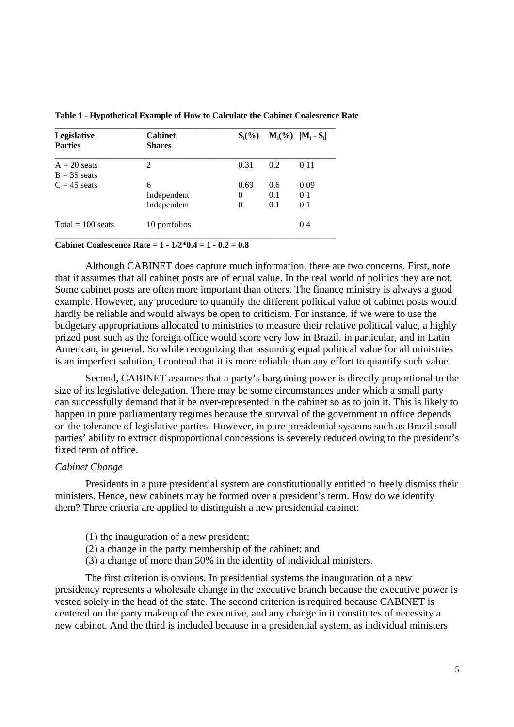| <b>Legislative</b><br><b>Parties</b> | <b>Cabinet</b><br><b>Shares</b> | $S_i(\%)$ |     | $M_i(\%)$  M <sub>i</sub> - S <sub>i</sub> |
|--------------------------------------|---------------------------------|-----------|-----|--------------------------------------------|
| $A = 20$ seats<br>$B = 35$ seats     | $\mathfrak{D}$                  | 0.31      | 0.2 | 0.11                                       |
| $C = 45$ seats                       | 6                               | 0.69      | 0.6 | 0.09                                       |
|                                      | Independent                     | $\theta$  | 0.1 | 0.1                                        |
|                                      | Independent                     | $\Omega$  | 0.1 | 0.1                                        |
| Total = $100$ seats                  | 10 portfolios                   |           |     | 0.4                                        |

**Table 1 - Hypothetical Example of How to Calculate the Cabinet Coalescence Rate**

#### **Cabinet Coalescence Rate = 1 - 1/2\*0.4 = 1 - 0.2 = 0.8**

Although CABINET does capture much information, there are two concerns. First, note that it assumes that all cabinet posts are of equal value. In the real world of politics they are not. Some cabinet posts are often more important than others. The finance ministry is always a good example. However, any procedure to quantify the different political value of cabinet posts would hardly be reliable and would always be open to criticism. For instance, if we were to use the budgetary appropriations allocated to ministries to measure their relative political value, a highly prized post such as the foreign office would score very low in Brazil, in particular, and in Latin American, in general. So while recognizing that assuming equal political value for all ministries is an imperfect solution, I contend that it is more reliable than any effort to quantify such value.

Second, CABINET assumes that a party's bargaining power is directly proportional to the size of its legislative delegation. There may be some circumstances under which a small party can successfully demand that it be over-represented in the cabinet so as to join it. This is likely to happen in pure parliamentary regimes because the survival of the government in office depends on the tolerance of legislative parties. However, in pure presidential systems such as Brazil small parties' ability to extract disproportional concessions is severely reduced owing to the president's fixed term of office.

#### *Cabinet Change*

Presidents in a pure presidential system are constitutionally entitled to freely dismiss their ministers. Hence, new cabinets may be formed over a president's term. How do we identify them? Three criteria are applied to distinguish a new presidential cabinet:

- (1) the inauguration of a new president;
- (2) a change in the party membership of the cabinet; and
- (3) a change of more than 50% in the identity of individual ministers.

The first criterion is obvious. In presidential systems the inauguration of a new presidency represents a wholesale change in the executive branch because the executive power is vested solely in the head of the state. The second criterion is required because CABINET is centered on the party makeup of the executive, and any change in it constitutes of necessity a new cabinet. And the third is included because in a presidential system, as individual ministers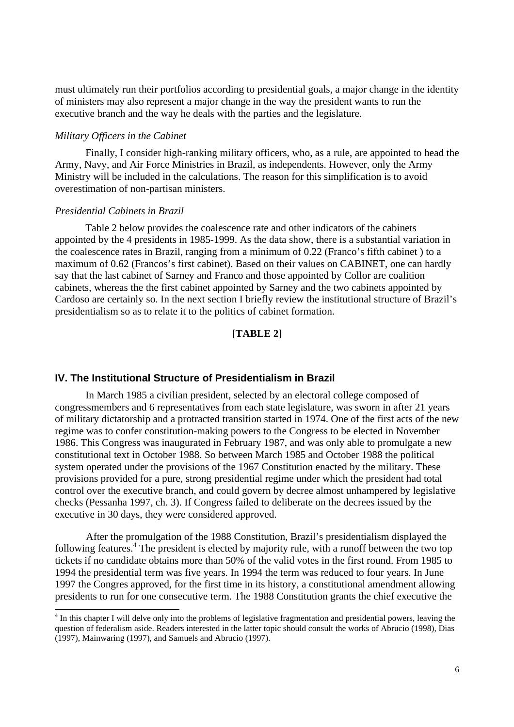must ultimately run their portfolios according to presidential goals, a major change in the identity of ministers may also represent a major change in the way the president wants to run the executive branch and the way he deals with the parties and the legislature.

#### *Military Officers in the Cabinet*

Finally, I consider high-ranking military officers, who, as a rule, are appointed to head the Army, Navy, and Air Force Ministries in Brazil, as independents. However, only the Army Ministry will be included in the calculations. The reason for this simplification is to avoid overestimation of non-partisan ministers.

#### *Presidential Cabinets in Brazil*

l

Table 2 below provides the coalescence rate and other indicators of the cabinets appointed by the 4 presidents in 1985-1999. As the data show, there is a substantial variation in the coalescence rates in Brazil, ranging from a minimum of 0.22 (Franco's fifth cabinet ) to a maximum of 0.62 (Francos's first cabinet). Based on their values on CABINET, one can hardly say that the last cabinet of Sarney and Franco and those appointed by Collor are coalition cabinets, whereas the the first cabinet appointed by Sarney and the two cabinets appointed by Cardoso are certainly so. In the next section I briefly review the institutional structure of Brazil's presidentialism so as to relate it to the politics of cabinet formation.

### **[TABLE 2]**

#### **IV. The Institutional Structure of Presidentialism in Brazil**

In March 1985 a civilian president, selected by an electoral college composed of congressmembers and 6 representatives from each state legislature, was sworn in after 21 years of military dictatorship and a protracted transition started in 1974. One of the first acts of the new regime was to confer constitution-making powers to the Congress to be elected in November 1986. This Congress was inaugurated in February 1987, and was only able to promulgate a new constitutional text in October 1988. So between March 1985 and October 1988 the political system operated under the provisions of the 1967 Constitution enacted by the military. These provisions provided for a pure, strong presidential regime under which the president had total control over the executive branch, and could govern by decree almost unhampered by legislative checks (Pessanha 1997, ch. 3). If Congress failed to deliberate on the decrees issued by the executive in 30 days, they were considered approved.

After the promulgation of the 1988 Constitution, Brazil's presidentialism displayed the following features.<sup>4</sup> The president is elected by majority rule, with a runoff between the two top tickets if no candidate obtains more than 50% of the valid votes in the first round. From 1985 to 1994 the presidential term was five years. In 1994 the term was reduced to four years. In June 1997 the Congres approved, for the first time in its history, a constitutional amendment allowing presidents to run for one consecutive term. The 1988 Constitution grants the chief executive the

<sup>&</sup>lt;sup>4</sup> In this chapter I will delve only into the problems of legislative fragmentation and presidential powers, leaving the question of federalism aside. Readers interested in the latter topic should consult the works of Abrucio (1998), Dias (1997), Mainwaring (1997), and Samuels and Abrucio (1997).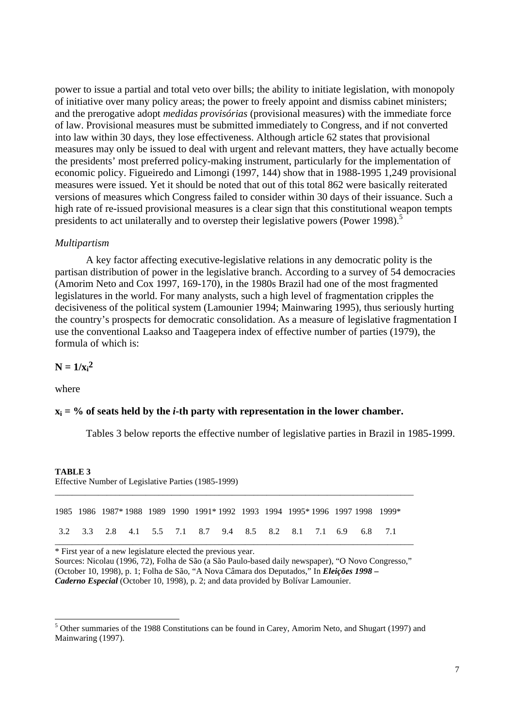power to issue a partial and total veto over bills; the ability to initiate legislation, with monopoly of initiative over many policy areas; the power to freely appoint and dismiss cabinet ministers; and the prerogative adopt *medidas provisórias* (provisional measures) with the immediate force of law. Provisional measures must be submitted immediately to Congress, and if not converted into law within 30 days, they lose effectiveness. Although article 62 states that provisional measures may only be issued to deal with urgent and relevant matters, they have actually become the presidents' most preferred policy-making instrument, particularly for the implementation of economic policy. Figueiredo and Limongi (1997, 144) show that in 1988-1995 1,249 provisional measures were issued. Yet it should be noted that out of this total 862 were basically reiterated versions of measures which Congress failed to consider within 30 days of their issuance. Such a high rate of re-issued provisional measures is a clear sign that this constitutional weapon tempts presidents to act unilaterally and to overstep their legislative powers (Power 1998).<sup>5</sup>

#### *Multipartism*

A key factor affecting executive-legislative relations in any democratic polity is the partisan distribution of power in the legislative branch. According to a survey of 54 democracies (Amorim Neto and Cox 1997, 169-170), in the 1980s Brazil had one of the most fragmented legislatures in the world. For many analysts, such a high level of fragmentation cripples the decisiveness of the political system (Lamounier 1994; Mainwaring 1995), thus seriously hurting the country's prospects for democratic consolidation. As a measure of legislative fragmentation I use the conventional Laakso and Taagepera index of effective number of parties (1979), the formula of which is:

 $N = 1/x_i^2$ 

where

### **xi = % of seats held by the** *i***-th party with representation in the lower chamber.**

Tables 3 below reports the effective number of legislative parties in Brazil in 1985-1999.

#### **TABLE 3**

-

Effective Number of Legislative Parties (1985-1999)

|  |  |  |                                                             |  |  |  | 1985 1986 1987* 1988 1989 1990 1991* 1992 1993 1994 1995* 1996 1997 1998 1999* |
|--|--|--|-------------------------------------------------------------|--|--|--|--------------------------------------------------------------------------------|
|  |  |  | 3.2 3.3 2.8 4.1 5.5 7.1 8.7 9.4 8.5 8.2 8.1 7.1 6.9 6.8 7.1 |  |  |  |                                                                                |

\_\_\_\_\_\_\_\_\_\_\_\_\_\_\_\_\_\_\_\_\_\_\_\_\_\_\_\_\_\_\_\_\_\_\_\_\_\_\_\_\_\_\_\_\_\_\_\_\_\_\_\_\_\_\_\_\_\_\_\_\_\_\_\_\_\_\_\_\_\_\_\_\_\_\_\_\_\_\_\_\_\_\_

\* First year of a new legislature elected the previous year.

Sources: Nicolau (1996, 72), Folha de São (a São Paulo-based daily newspaper), "O Novo Congresso," (October 10, 1998), p. 1; Folha de São, "A Nova Câmara dos Deputados," In *Eleições 1998 – Caderno Especial* (October 10, 1998), p. 2; and data provided by Bolívar Lamounier.

<sup>&</sup>lt;sup>5</sup> Other summaries of the 1988 Constitutions can be found in Carey, Amorim Neto, and Shugart (1997) and Mainwaring (1997).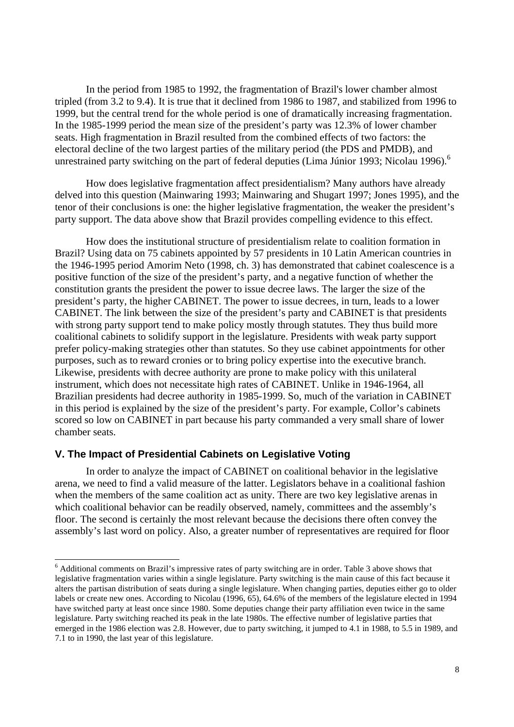In the period from 1985 to 1992, the fragmentation of Brazil's lower chamber almost tripled (from 3.2 to 9.4). It is true that it declined from 1986 to 1987, and stabilized from 1996 to 1999, but the central trend for the whole period is one of dramatically increasing fragmentation. In the 1985-1999 period the mean size of the president's party was 12.3% of lower chamber seats. High fragmentation in Brazil resulted from the combined effects of two factors: the electoral decline of the two largest parties of the military period (the PDS and PMDB), and unrestrained party switching on the part of federal deputies (Lima Júnior 1993; Nicolau 1996).<sup>6</sup>

How does legislative fragmentation affect presidentialism? Many authors have already delved into this question (Mainwaring 1993; Mainwaring and Shugart 1997; Jones 1995), and the tenor of their conclusions is one: the higher legislative fragmentation, the weaker the president's party support. The data above show that Brazil provides compelling evidence to this effect.

How does the institutional structure of presidentialism relate to coalition formation in Brazil? Using data on 75 cabinets appointed by 57 presidents in 10 Latin American countries in the 1946-1995 period Amorim Neto (1998, ch. 3) has demonstrated that cabinet coalescence is a positive function of the size of the president's party, and a negative function of whether the constitution grants the president the power to issue decree laws. The larger the size of the president's party, the higher CABINET. The power to issue decrees, in turn, leads to a lower CABINET. The link between the size of the president's party and CABINET is that presidents with strong party support tend to make policy mostly through statutes. They thus build more coalitional cabinets to solidify support in the legislature. Presidents with weak party support prefer policy-making strategies other than statutes. So they use cabinet appointments for other purposes, such as to reward cronies or to bring policy expertise into the executive branch. Likewise, presidents with decree authority are prone to make policy with this unilateral instrument, which does not necessitate high rates of CABINET. Unlike in 1946-1964, all Brazilian presidents had decree authority in 1985-1999. So, much of the variation in CABINET in this period is explained by the size of the president's party. For example, Collor's cabinets scored so low on CABINET in part because his party commanded a very small share of lower chamber seats.

### **V. The Impact of Presidential Cabinets on Legislative Voting**

l

In order to analyze the impact of CABINET on coalitional behavior in the legislative arena, we need to find a valid measure of the latter. Legislators behave in a coalitional fashion when the members of the same coalition act as unity. There are two key legislative arenas in which coalitional behavior can be readily observed, namely, committees and the assembly's floor. The second is certainly the most relevant because the decisions there often convey the assembly's last word on policy. Also, a greater number of representatives are required for floor

<sup>&</sup>lt;sup>6</sup> Additional comments on Brazil's impressive rates of party switching are in order. Table 3 above shows that legislative fragmentation varies within a single legislature. Party switching is the main cause of this fact because it alters the partisan distribution of seats during a single legislature. When changing parties, deputies either go to older labels or create new ones. According to Nicolau (1996, 65), 64.6% of the members of the legislature elected in 1994 have switched party at least once since 1980. Some deputies change their party affiliation even twice in the same legislature. Party switching reached its peak in the late 1980s. The effective number of legislative parties that emerged in the 1986 election was 2.8. However, due to party switching, it jumped to 4.1 in 1988, to 5.5 in 1989, and 7.1 to in 1990, the last year of this legislature.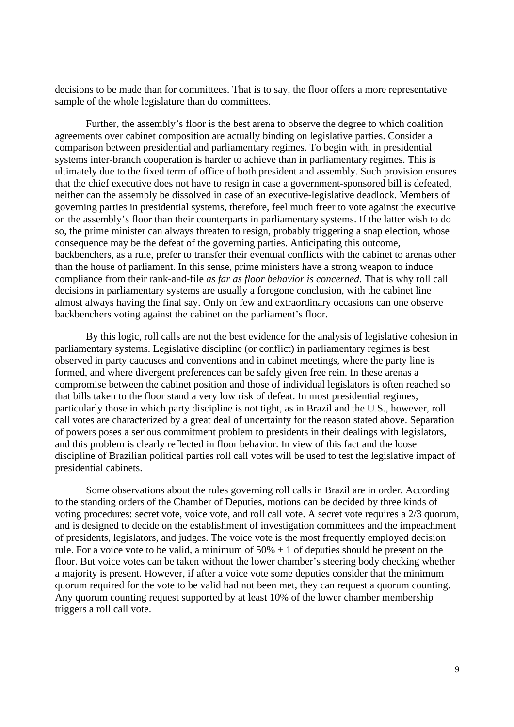decisions to be made than for committees. That is to say, the floor offers a more representative sample of the whole legislature than do committees.

Further, the assembly's floor is the best arena to observe the degree to which coalition agreements over cabinet composition are actually binding on legislative parties. Consider a comparison between presidential and parliamentary regimes. To begin with, in presidential systems inter-branch cooperation is harder to achieve than in parliamentary regimes. This is ultimately due to the fixed term of office of both president and assembly. Such provision ensures that the chief executive does not have to resign in case a government-sponsored bill is defeated, neither can the assembly be dissolved in case of an executive-legislative deadlock. Members of governing parties in presidential systems, therefore, feel much freer to vote against the executive on the assembly's floor than their counterparts in parliamentary systems. If the latter wish to do so, the prime minister can always threaten to resign, probably triggering a snap election, whose consequence may be the defeat of the governing parties. Anticipating this outcome, backbenchers, as a rule, prefer to transfer their eventual conflicts with the cabinet to arenas other than the house of parliament. In this sense, prime ministers have a strong weapon to induce compliance from their rank-and-file *as far as floor behavior is concerned*. That is why roll call decisions in parliamentary systems are usually a foregone conclusion, with the cabinet line almost always having the final say. Only on few and extraordinary occasions can one observe backbenchers voting against the cabinet on the parliament's floor.

By this logic, roll calls are not the best evidence for the analysis of legislative cohesion in parliamentary systems. Legislative discipline (or conflict) in parliamentary regimes is best observed in party caucuses and conventions and in cabinet meetings, where the party line is formed, and where divergent preferences can be safely given free rein. In these arenas a compromise between the cabinet position and those of individual legislators is often reached so that bills taken to the floor stand a very low risk of defeat. In most presidential regimes, particularly those in which party discipline is not tight, as in Brazil and the U.S., however, roll call votes are characterized by a great deal of uncertainty for the reason stated above. Separation of powers poses a serious commitment problem to presidents in their dealings with legislators, and this problem is clearly reflected in floor behavior. In view of this fact and the loose discipline of Brazilian political parties roll call votes will be used to test the legislative impact of presidential cabinets.

Some observations about the rules governing roll calls in Brazil are in order. According to the standing orders of the Chamber of Deputies, motions can be decided by three kinds of voting procedures: secret vote, voice vote, and roll call vote. A secret vote requires a 2/3 quorum, and is designed to decide on the establishment of investigation committees and the impeachment of presidents, legislators, and judges. The voice vote is the most frequently employed decision rule. For a voice vote to be valid, a minimum of  $50\% + 1$  of deputies should be present on the floor. But voice votes can be taken without the lower chamber's steering body checking whether a majority is present. However, if after a voice vote some deputies consider that the minimum quorum required for the vote to be valid had not been met, they can request a quorum counting. Any quorum counting request supported by at least 10% of the lower chamber membership triggers a roll call vote.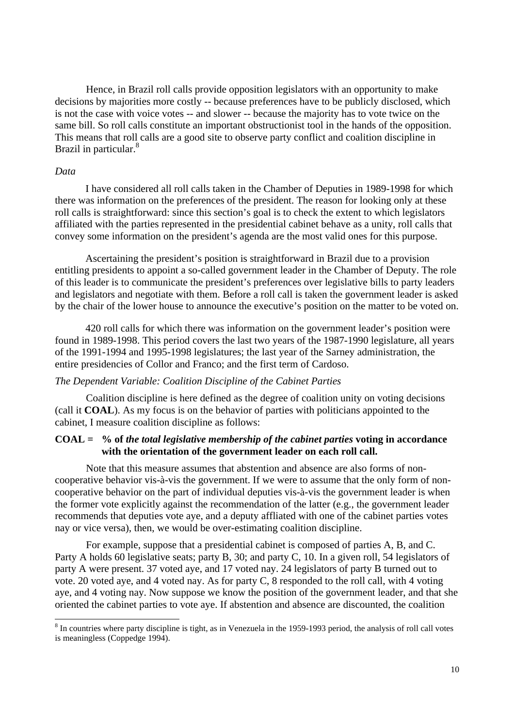Hence, in Brazil roll calls provide opposition legislators with an opportunity to make decisions by majorities more costly -- because preferences have to be publicly disclosed, which is not the case with voice votes -- and slower -- because the majority has to vote twice on the same bill. So roll calls constitute an important obstructionist tool in the hands of the opposition. This means that roll calls are a good site to observe party conflict and coalition discipline in Brazil in particular.<sup>8</sup>

#### *Data*

I have considered all roll calls taken in the Chamber of Deputies in 1989-1998 for which there was information on the preferences of the president. The reason for looking only at these roll calls is straightforward: since this section's goal is to check the extent to which legislators affiliated with the parties represented in the presidential cabinet behave as a unity, roll calls that convey some information on the president's agenda are the most valid ones for this purpose.

Ascertaining the president's position is straightforward in Brazil due to a provision entitling presidents to appoint a so-called government leader in the Chamber of Deputy. The role of this leader is to communicate the president's preferences over legislative bills to party leaders and legislators and negotiate with them. Before a roll call is taken the government leader is asked by the chair of the lower house to announce the executive's position on the matter to be voted on.

420 roll calls for which there was information on the government leader's position were found in 1989-1998. This period covers the last two years of the 1987-1990 legislature, all years of the 1991-1994 and 1995-1998 legislatures; the last year of the Sarney administration, the entire presidencies of Collor and Franco; and the first term of Cardoso.

#### *The Dependent Variable: Coalition Discipline of the Cabinet Parties*

Coalition discipline is here defined as the degree of coalition unity on voting decisions (call it **COAL**). As my focus is on the behavior of parties with politicians appointed to the cabinet, I measure coalition discipline as follows:

## **COAL = % of** *the total legislative membership of the cabinet parties* **voting in accordance with the orientation of the government leader on each roll call.**

Note that this measure assumes that abstention and absence are also forms of noncooperative behavior vis-à-vis the government. If we were to assume that the only form of noncooperative behavior on the part of individual deputies vis-à-vis the government leader is when the former vote explicitly against the recommendation of the latter (e.g., the government leader recommends that deputies vote aye, and a deputy affliated with one of the cabinet parties votes nay or vice versa), then, we would be over-estimating coalition discipline.

For example, suppose that a presidential cabinet is composed of parties A, B, and C. Party A holds 60 legislative seats; party B, 30; and party C, 10. In a given roll, 54 legislators of party A were present. 37 voted aye, and 17 voted nay. 24 legislators of party B turned out to vote. 20 voted aye, and 4 voted nay. As for party C, 8 responded to the roll call, with 4 voting aye, and 4 voting nay. Now suppose we know the position of the government leader, and that she oriented the cabinet parties to vote aye. If abstention and absence are discounted, the coalition

<sup>&</sup>lt;sup>8</sup> In countries where party discipline is tight, as in Venezuela in the 1959-1993 period, the analysis of roll call votes is meaningless (Coppedge 1994).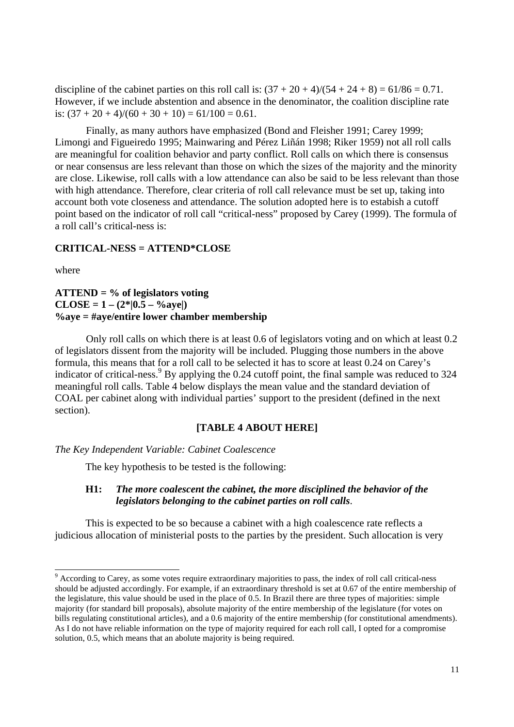discipline of the cabinet parties on this roll call is:  $(37 + 20 + 4)/(54 + 24 + 8) = 61/86 = 0.71$ . However, if we include abstention and absence in the denominator, the coalition discipline rate is:  $(37 + 20 + 4)/(60 + 30 + 10) = 61/100 = 0.61$ .

Finally, as many authors have emphasized (Bond and Fleisher 1991; Carey 1999; Limongi and Figueiredo 1995; Mainwaring and Pérez Liñán 1998; Riker 1959) not all roll calls are meaningful for coalition behavior and party conflict. Roll calls on which there is consensus or near consensus are less relevant than those on which the sizes of the majority and the minority are close. Likewise, roll calls with a low attendance can also be said to be less relevant than those with high attendance. Therefore, clear criteria of roll call relevance must be set up, taking into account both vote closeness and attendance. The solution adopted here is to estabish a cutoff point based on the indicator of roll call "critical-ness" proposed by Carey (1999). The formula of a roll call's critical-ness is:

#### **CRITICAL-NESS = ATTEND\*CLOSE**

where

### **ATTEND = % of legislators voting**  $CLOSE = 1 - (2*|0.5 - %ave|)$ **%aye = #aye/entire lower chamber membership**

Only roll calls on which there is at least 0.6 of legislators voting and on which at least 0.2 of legislators dissent from the majority will be included. Plugging those numbers in the above formula, this means that for a roll call to be selected it has to score at least 0.24 on Carey's indicator of critical-ness.  $8^9$  By applying the 0.24 cutoff point, the final sample was reduced to 324 meaningful roll calls. Table 4 below displays the mean value and the standard deviation of COAL per cabinet along with individual parties' support to the president (defined in the next section).

### **[TABLE 4 ABOUT HERE]**

#### *The Key Independent Variable: Cabinet Coalescence*

The key hypothesis to be tested is the following:

### **H1:** *The more coalescent the cabinet, the more disciplined the behavior of the legislators belonging to the cabinet parties on roll calls*.

This is expected to be so because a cabinet with a high coalescence rate reflects a judicious allocation of ministerial posts to the parties by the president. Such allocation is very

<sup>&</sup>lt;sup>9</sup> According to Carey, as some votes require extraordinary majorities to pass, the index of roll call critical-ness should be adjusted accordingly. For example, if an extraordinary threshold is set at 0.67 of the entire membership of the legislature, this value should be used in the place of 0.5. In Brazil there are three types of majorities: simple majority (for standard bill proposals), absolute majority of the entire membership of the legislature (for votes on bills regulating constitutional articles), and a 0.6 majority of the entire membership (for constitutional amendments). As I do not have reliable information on the type of majority required for each roll call, I opted for a compromise solution, 0.5, which means that an abolute majority is being required.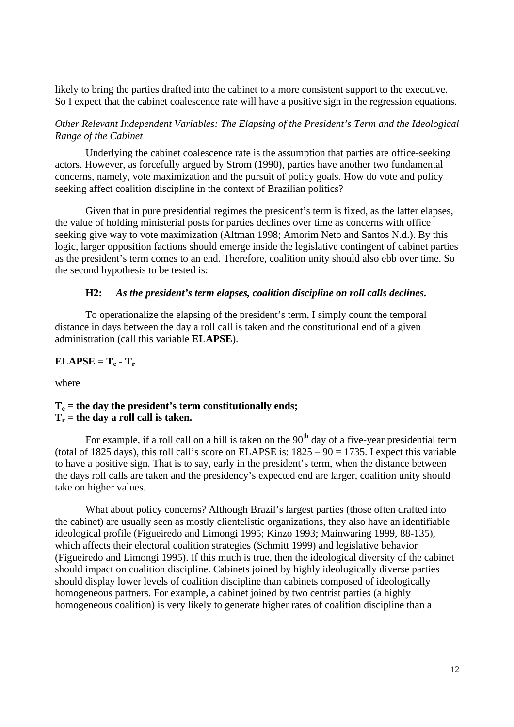likely to bring the parties drafted into the cabinet to a more consistent support to the executive. So I expect that the cabinet coalescence rate will have a positive sign in the regression equations.

### *Other Relevant Independent Variables: The Elapsing of the President's Term and the Ideological Range of the Cabinet*

Underlying the cabinet coalescence rate is the assumption that parties are office-seeking actors. However, as forcefully argued by Strom (1990), parties have another two fundamental concerns, namely, vote maximization and the pursuit of policy goals. How do vote and policy seeking affect coalition discipline in the context of Brazilian politics?

Given that in pure presidential regimes the president's term is fixed, as the latter elapses, the value of holding ministerial posts for parties declines over time as concerns with office seeking give way to vote maximization (Altman 1998; Amorim Neto and Santos N.d.). By this logic, larger opposition factions should emerge inside the legislative contingent of cabinet parties as the president's term comes to an end. Therefore, coalition unity should also ebb over time. So the second hypothesis to be tested is:

### **H2:** *As the president's term elapses, coalition discipline on roll calls declines.*

To operationalize the elapsing of the president's term, I simply count the temporal distance in days between the day a roll call is taken and the constitutional end of a given administration (call this variable **ELAPSE**).

#### $ELAPSE = T_e - T_r$

where

### **Te = the day the president's term constitutionally ends;**  $T_r$  = the day a roll call is taken.

For example, if a roll call on a bill is taken on the  $90<sup>th</sup>$  day of a five-year presidential term (total of 1825 days), this roll call's score on ELAPSE is:  $1825 - 90 = 1735$ . I expect this variable to have a positive sign. That is to say, early in the president's term, when the distance between the days roll calls are taken and the presidency's expected end are larger, coalition unity should take on higher values.

What about policy concerns? Although Brazil's largest parties (those often drafted into the cabinet) are usually seen as mostly clientelistic organizations, they also have an identifiable ideological profile (Figueiredo and Limongi 1995; Kinzo 1993; Mainwaring 1999, 88-135), which affects their electoral coalition strategies (Schmitt 1999) and legislative behavior (Figueiredo and Limongi 1995). If this much is true, then the ideological diversity of the cabinet should impact on coalition discipline. Cabinets joined by highly ideologically diverse parties should display lower levels of coalition discipline than cabinets composed of ideologically homogeneous partners. For example, a cabinet joined by two centrist parties (a highly homogeneous coalition) is very likely to generate higher rates of coalition discipline than a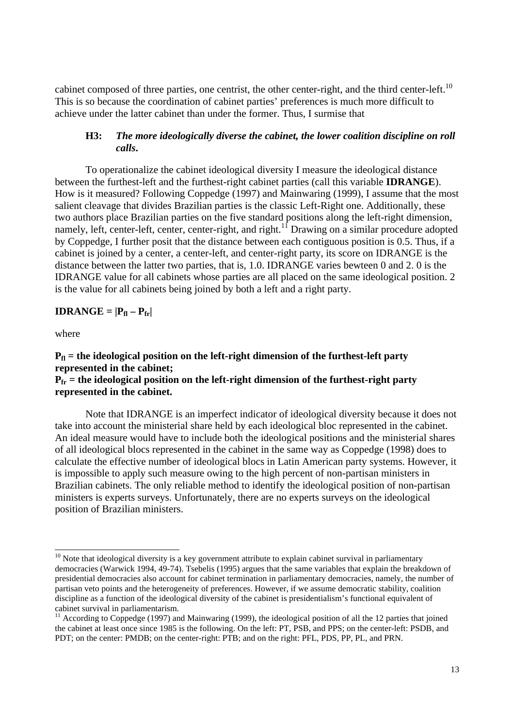cabinet composed of three parties, one centrist, the other center-right, and the third center-left.<sup>10</sup> This is so because the coordination of cabinet parties' preferences is much more difficult to achieve under the latter cabinet than under the former. Thus, I surmise that

## **H3:** *The more ideologically diverse the cabinet, the lower coalition discipline on roll calls***.**

To operationalize the cabinet ideological diversity I measure the ideological distance between the furthest-left and the furthest-right cabinet parties (call this variable **IDRANGE**). How is it measured? Following Coppedge (1997) and Mainwaring (1999), I assume that the most salient cleavage that divides Brazilian parties is the classic Left-Right one. Additionally, these two authors place Brazilian parties on the five standard positions along the left-right dimension, namely, left, center-left, center, center-right, and right.<sup>11</sup> Drawing on a similar procedure adopted by Coppedge, I further posit that the distance between each contiguous position is 0.5. Thus, if a cabinet is joined by a center, a center-left, and center-right party, its score on IDRANGE is the distance between the latter two parties, that is, 1.0. IDRANGE varies bewteen 0 and 2. 0 is the IDRANGE value for all cabinets whose parties are all placed on the same ideological position. 2 is the value for all cabinets being joined by both a left and a right party.

### $\mathbf{IDRANGE} = |\mathbf{P}_{\mathbf{fl}} - \mathbf{P}_{\mathbf{fr}}|$

where

l

## P<sub>fl</sub> = the ideological position on the left-right dimension of the furthest-left party **represented in the cabinet;**  $P_{fr}$  = the ideological position on the left-right dimension of the furthest-right party **represented in the cabinet.**

Note that IDRANGE is an imperfect indicator of ideological diversity because it does not take into account the ministerial share held by each ideological bloc represented in the cabinet. An ideal measure would have to include both the ideological positions and the ministerial shares of all ideological blocs represented in the cabinet in the same way as Coppedge (1998) does to calculate the effective number of ideological blocs in Latin American party systems. However, it is impossible to apply such measure owing to the high percent of non-partisan ministers in Brazilian cabinets. The only reliable method to identify the ideological position of non-partisan ministers is experts surveys. Unfortunately, there are no experts surveys on the ideological position of Brazilian ministers.

 $10$  Note that ideological diversity is a key government attribute to explain cabinet survival in parliamentary democracies (Warwick 1994, 49-74). Tsebelis (1995) argues that the same variables that explain the breakdown of presidential democracies also account for cabinet termination in parliamentary democracies, namely, the number of partisan veto points and the heterogeneity of preferences. However, if we assume democratic stability, coalition discipline as a function of the ideological diversity of the cabinet is presidentialism's functional equivalent of cabinet survival in parliamentarism.

 $11$  According to Coppedge (1997) and Mainwaring (1999), the ideological position of all the 12 parties that joined the cabinet at least once since 1985 is the following. On the left: PT, PSB, and PPS; on the center-left: PSDB, and PDT; on the center: PMDB; on the center-right: PTB; and on the right: PFL, PDS, PP, PL, and PRN.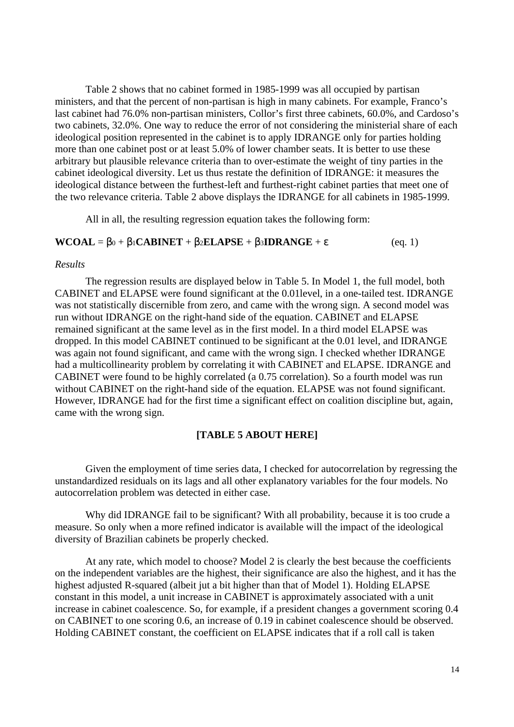Table 2 shows that no cabinet formed in 1985-1999 was all occupied by partisan ministers, and that the percent of non-partisan is high in many cabinets. For example, Franco's last cabinet had 76.0% non-partisan ministers, Collor's first three cabinets, 60.0%, and Cardoso's two cabinets, 32.0%. One way to reduce the error of not considering the ministerial share of each ideological position represented in the cabinet is to apply IDRANGE only for parties holding more than one cabinet post or at least 5.0% of lower chamber seats. It is better to use these arbitrary but plausible relevance criteria than to over-estimate the weight of tiny parties in the cabinet ideological diversity. Let us thus restate the definition of IDRANGE: it measures the ideological distance between the furthest-left and furthest-right cabinet parties that meet one of the two relevance criteria. Table 2 above displays the IDRANGE for all cabinets in 1985-1999.

All in all, the resulting regression equation takes the following form:

#### $WCOAL = \beta_0 + \beta_1CABINET + \beta_2ELAPSE + \beta_3IDRANGE + \epsilon$  (eq. 1)

#### *Results*

The regression results are displayed below in Table 5. In Model 1, the full model, both CABINET and ELAPSE were found significant at the 0.01level, in a one-tailed test. IDRANGE was not statistically discernible from zero, and came with the wrong sign. A second model was run without IDRANGE on the right-hand side of the equation. CABINET and ELAPSE remained significant at the same level as in the first model. In a third model ELAPSE was dropped. In this model CABINET continued to be significant at the 0.01 level, and IDRANGE was again not found significant, and came with the wrong sign. I checked whether IDRANGE had a multicollinearity problem by correlating it with CABINET and ELAPSE. IDRANGE and CABINET were found to be highly correlated (a 0.75 correlation). So a fourth model was run without CABINET on the right-hand side of the equation. ELAPSE was not found significant. However, IDRANGE had for the first time a significant effect on coalition discipline but, again, came with the wrong sign.

#### **[TABLE 5 ABOUT HERE]**

Given the employment of time series data, I checked for autocorrelation by regressing the unstandardized residuals on its lags and all other explanatory variables for the four models. No autocorrelation problem was detected in either case.

Why did IDRANGE fail to be significant? With all probability, because it is too crude a measure. So only when a more refined indicator is available will the impact of the ideological diversity of Brazilian cabinets be properly checked.

At any rate, which model to choose? Model 2 is clearly the best because the coefficients on the independent variables are the highest, their significance are also the highest, and it has the highest adjusted R-squared (albeit jut a bit higher than that of Model 1). Holding ELAPSE constant in this model, a unit increase in CABINET is approximately associated with a unit increase in cabinet coalescence. So, for example, if a president changes a government scoring 0.4 on CABINET to one scoring 0.6, an increase of 0.19 in cabinet coalescence should be observed. Holding CABINET constant, the coefficient on ELAPSE indicates that if a roll call is taken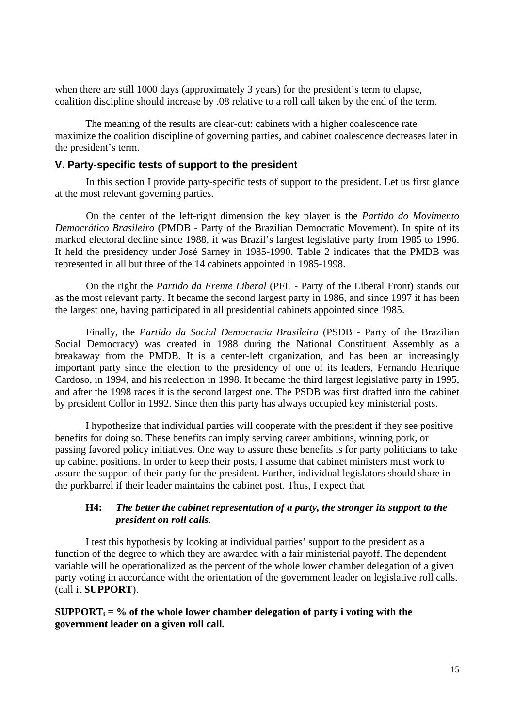when there are still 1000 days (approximately 3 years) for the president's term to elapse, coalition discipline should increase by .08 relative to a roll call taken by the end of the term.

The meaning of the results are clear-cut: cabinets with a higher coalescence rate maximize the coalition discipline of governing parties, and cabinet coalescence decreases later in the president's term.

### **V. Party-specific tests of support to the president**

In this section I provide party-specific tests of support to the president. Let us first glance at the most relevant governing parties.

On the center of the left-right dimension the key player is the *Partido do Movimento Democrático Brasileiro* (PMDB - Party of the Brazilian Democratic Movement). In spite of its marked electoral decline since 1988, it was Brazil's largest legislative party from 1985 to 1996. It held the presidency under José Sarney in 1985-1990. Table 2 indicates that the PMDB was represented in all but three of the 14 cabinets appointed in 1985-1998.

On the right the *Partido da Frente Liberal* (PFL - Party of the Liberal Front) stands out as the most relevant party. It became the second largest party in 1986, and since 1997 it has been the largest one, having participated in all presidential cabinets appointed since 1985.

Finally, the *Partido da Social Democracia Brasileira* (PSDB - Party of the Brazilian Social Democracy) was created in 1988 during the National Constituent Assembly as a breakaway from the PMDB. It is a center-left organization, and has been an increasingly important party since the election to the presidency of one of its leaders, Fernando Henrique Cardoso, in 1994, and his reelection in 1998. It became the third largest legislative party in 1995, and after the 1998 races it is the second largest one. The PSDB was first drafted into the cabinet by president Collor in 1992. Since then this party has always occupied key ministerial posts.

I hypothesize that individual parties will cooperate with the president if they see positive benefits for doing so. These benefits can imply serving career ambitions, winning pork, or passing favored policy initiatives. One way to assure these benefits is for party politicians to take up cabinet positions. In order to keep their posts, I assume that cabinet ministers must work to assure the support of their party for the president. Further, individual legislators should share in the porkbarrel if their leader maintains the cabinet post. Thus, I expect that

### **H4:** *The better the cabinet representation of a party, the stronger its support to the president on roll calls.*

I test this hypothesis by looking at individual parties' support to the president as a function of the degree to which they are awarded with a fair ministerial payoff. The dependent variable will be operationalized as the percent of the whole lower chamber delegation of a given party voting in accordance witht the orientation of the government leader on legislative roll calls. (call it **SUPPORT**).

### **SUPPORT<sup>i</sup> = % of the whole lower chamber delegation of party i voting with the government leader on a given roll call.**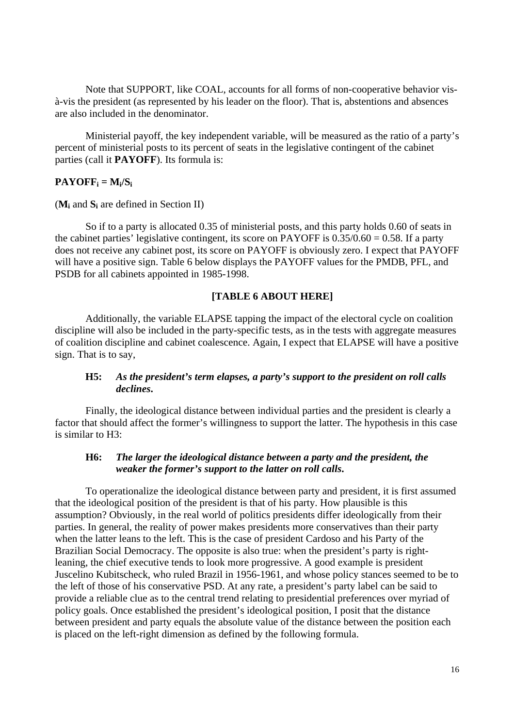Note that SUPPORT, like COAL, accounts for all forms of non-cooperative behavior visà-vis the president (as represented by his leader on the floor). That is, abstentions and absences are also included in the denominator.

Ministerial payoff, the key independent variable, will be measured as the ratio of a party's percent of ministerial posts to its percent of seats in the legislative contingent of the cabinet parties (call it **PAYOFF**). Its formula is:

### $PAYOFF_i = M_i/S_i$

(**M<sup>i</sup>** and **S<sup>i</sup>** are defined in Section II)

So if to a party is allocated 0.35 of ministerial posts, and this party holds 0.60 of seats in the cabinet parties' legislative contingent, its score on PAYOFF is  $0.35/0.60 = 0.58$ . If a party does not receive any cabinet post, its score on PAYOFF is obviously zero. I expect that PAYOFF will have a positive sign. Table 6 below displays the PAYOFF values for the PMDB, PFL, and PSDB for all cabinets appointed in 1985-1998.

### **[TABLE 6 ABOUT HERE]**

Additionally, the variable ELAPSE tapping the impact of the electoral cycle on coalition discipline will also be included in the party-specific tests, as in the tests with aggregate measures of coalition discipline and cabinet coalescence. Again, I expect that ELAPSE will have a positive sign. That is to say,

### **H5:** *As the president's term elapses, a party's support to the president on roll calls declines***.**

Finally, the ideological distance between individual parties and the president is clearly a factor that should affect the former's willingness to support the latter. The hypothesis in this case is similar to H3:

### **H6:** *The larger the ideological distance between a party and the president, the weaker the former's support to the latter on roll calls***.**

To operationalize the ideological distance between party and president, it is first assumed that the ideological position of the president is that of his party. How plausible is this assumption? Obviously, in the real world of politics presidents differ ideologically from their parties. In general, the reality of power makes presidents more conservatives than their party when the latter leans to the left. This is the case of president Cardoso and his Party of the Brazilian Social Democracy. The opposite is also true: when the president's party is rightleaning, the chief executive tends to look more progressive. A good example is president Juscelino Kubitscheck, who ruled Brazil in 1956-1961, and whose policy stances seemed to be to the left of those of his conservative PSD. At any rate, a president's party label can be said to provide a reliable clue as to the central trend relating to presidential preferences over myriad of policy goals. Once established the president's ideological position, I posit that the distance between president and party equals the absolute value of the distance between the position each is placed on the left-right dimension as defined by the following formula.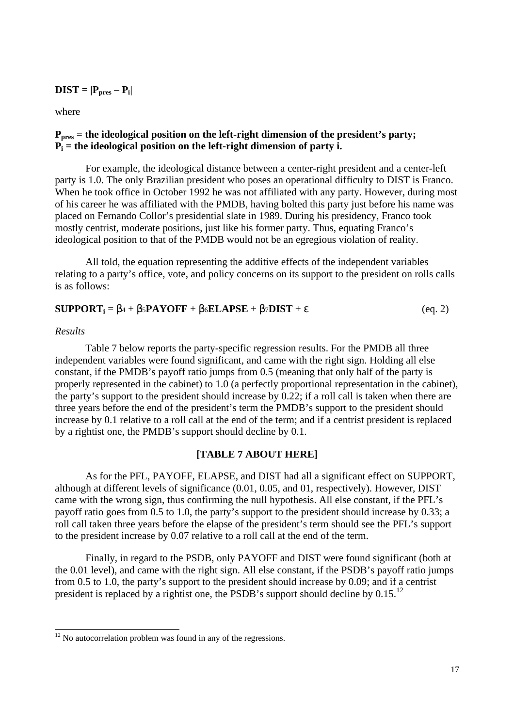### $\mathbf{DIST} = |\mathbf{P}_{\text{pres}} - \mathbf{P}_{\text{i}}|$

where

## **Ppres = the ideological position on the left-right dimension of the president's party; Pi = the ideological position on the left-right dimension of party i.**

For example, the ideological distance between a center-right president and a center-left party is 1.0. The only Brazilian president who poses an operational difficulty to DIST is Franco. When he took office in October 1992 he was not affiliated with any party. However, during most of his career he was affiliated with the PMDB, having bolted this party just before his name was placed on Fernando Collor's presidential slate in 1989. During his presidency, Franco took mostly centrist, moderate positions, just like his former party. Thus, equating Franco's ideological position to that of the PMDB would not be an egregious violation of reality.

All told, the equation representing the additive effects of the independent variables relating to a party's office, vote, and policy concerns on its support to the president on rolls calls is as follows:

$$
SUPPORT_i = \beta_4 + \beta_5 PAYOFF + \beta_6 ELAPSE + \beta_7 DIST + \epsilon
$$
 (eq. 2)

#### *Results*

l

Table 7 below reports the party-specific regression results. For the PMDB all three independent variables were found significant, and came with the right sign. Holding all else constant, if the PMDB's payoff ratio jumps from 0.5 (meaning that only half of the party is properly represented in the cabinet) to 1.0 (a perfectly proportional representation in the cabinet), the party's support to the president should increase by 0.22; if a roll call is taken when there are three years before the end of the president's term the PMDB's support to the president should increase by 0.1 relative to a roll call at the end of the term; and if a centrist president is replaced by a rightist one, the PMDB's support should decline by 0.1.

#### **[TABLE 7 ABOUT HERE]**

As for the PFL, PAYOFF, ELAPSE, and DIST had all a significant effect on SUPPORT, although at different levels of significance (0.01, 0.05, and 01, respectively). However, DIST came with the wrong sign, thus confirming the null hypothesis. All else constant, if the PFL's payoff ratio goes from 0.5 to 1.0, the party's support to the president should increase by 0.33; a roll call taken three years before the elapse of the president's term should see the PFL's support to the president increase by 0.07 relative to a roll call at the end of the term.

Finally, in regard to the PSDB, only PAYOFF and DIST were found significant (both at the 0.01 level), and came with the right sign. All else constant, if the PSDB's payoff ratio jumps from 0.5 to 1.0, the party's support to the president should increase by 0.09; and if a centrist president is replaced by a rightist one, the PSDB's support should decline by  $0.15$ <sup>12</sup>

 $12$  No autocorrelation problem was found in any of the regressions.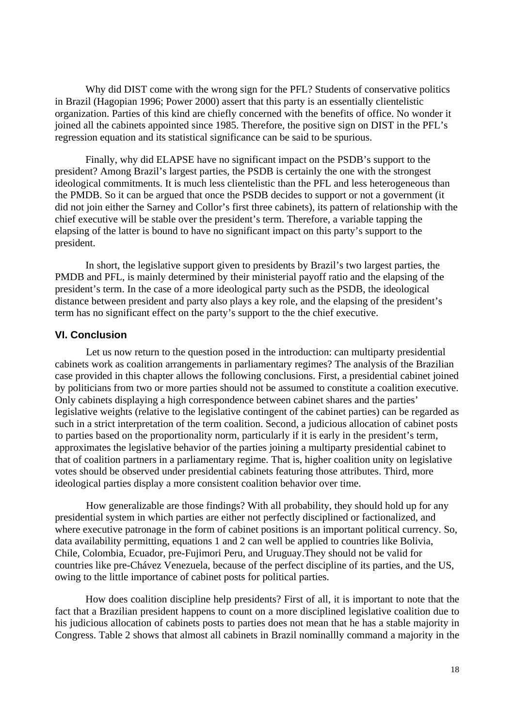Why did DIST come with the wrong sign for the PFL? Students of conservative politics in Brazil (Hagopian 1996; Power 2000) assert that this party is an essentially clientelistic organization. Parties of this kind are chiefly concerned with the benefits of office. No wonder it joined all the cabinets appointed since 1985. Therefore, the positive sign on DIST in the PFL's regression equation and its statistical significance can be said to be spurious.

Finally, why did ELAPSE have no significant impact on the PSDB's support to the president? Among Brazil's largest parties, the PSDB is certainly the one with the strongest ideological commitments. It is much less clientelistic than the PFL and less heterogeneous than the PMDB. So it can be argued that once the PSDB decides to support or not a government (it did not join either the Sarney and Collor's first three cabinets), its pattern of relationship with the chief executive will be stable over the president's term. Therefore, a variable tapping the elapsing of the latter is bound to have no significant impact on this party's support to the president.

In short, the legislative support given to presidents by Brazil's two largest parties, the PMDB and PFL, is mainly determined by their ministerial payoff ratio and the elapsing of the president's term. In the case of a more ideological party such as the PSDB, the ideological distance between president and party also plays a key role, and the elapsing of the president's term has no significant effect on the party's support to the the chief executive.

### **VI. Conclusion**

Let us now return to the question posed in the introduction: can multiparty presidential cabinets work as coalition arrangements in parliamentary regimes? The analysis of the Brazilian case provided in this chapter allows the following conclusions. First, a presidential cabinet joined by politicians from two or more parties should not be assumed to constitute a coalition executive. Only cabinets displaying a high correspondence between cabinet shares and the parties' legislative weights (relative to the legislative contingent of the cabinet parties) can be regarded as such in a strict interpretation of the term coalition. Second, a judicious allocation of cabinet posts to parties based on the proportionality norm, particularly if it is early in the president's term, approximates the legislative behavior of the parties joining a multiparty presidential cabinet to that of coalition partners in a parliamentary regime. That is, higher coalition unity on legislative votes should be observed under presidential cabinets featuring those attributes. Third, more ideological parties display a more consistent coalition behavior over time.

How generalizable are those findings? With all probability, they should hold up for any presidential system in which parties are either not perfectly disciplined or factionalized, and where executive patronage in the form of cabinet positions is an important political currency. So, data availability permitting, equations 1 and 2 can well be applied to countries like Bolivia, Chile, Colombia, Ecuador, pre-Fujimori Peru, and Uruguay.They should not be valid for countries like pre-Chávez Venezuela, because of the perfect discipline of its parties, and the US, owing to the little importance of cabinet posts for political parties.

How does coalition discipline help presidents? First of all, it is important to note that the fact that a Brazilian president happens to count on a more disciplined legislative coalition due to his judicious allocation of cabinets posts to parties does not mean that he has a stable majority in Congress. Table 2 shows that almost all cabinets in Brazil nominallly command a majority in the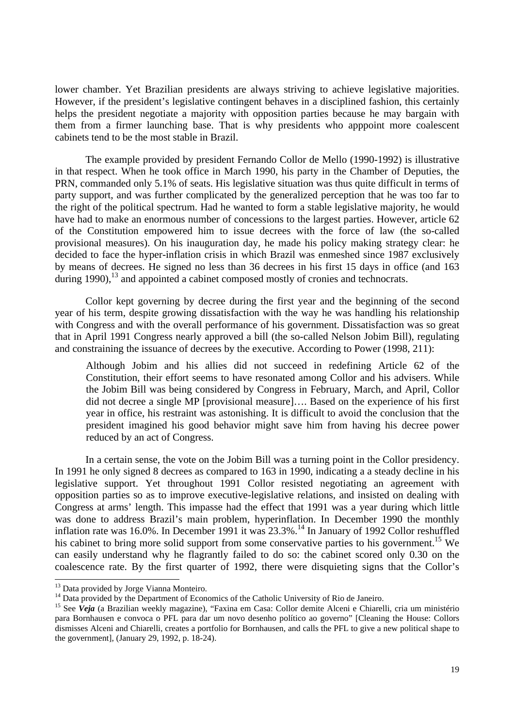lower chamber. Yet Brazilian presidents are always striving to achieve legislative majorities. However, if the president's legislative contingent behaves in a disciplined fashion, this certainly helps the president negotiate a majority with opposition parties because he may bargain with them from a firmer launching base. That is why presidents who apppoint more coalescent cabinets tend to be the most stable in Brazil.

The example provided by president Fernando Collor de Mello (1990-1992) is illustrative in that respect. When he took office in March 1990, his party in the Chamber of Deputies, the PRN, commanded only 5.1% of seats. His legislative situation was thus quite difficult in terms of party support, and was further complicated by the generalized perception that he was too far to the right of the political spectrum. Had he wanted to form a stable legislative majority, he would have had to make an enormous number of concessions to the largest parties. However, article 62 of the Constitution empowered him to issue decrees with the force of law (the so-called provisional measures). On his inauguration day, he made his policy making strategy clear: he decided to face the hyper-inflation crisis in which Brazil was enmeshed since 1987 exclusively by means of decrees. He signed no less than 36 decrees in his first 15 days in office (and 163 during  $1990$ ,  $^{13}$  and appointed a cabinet composed mostly of cronies and technocrats.

Collor kept governing by decree during the first year and the beginning of the second year of his term, despite growing dissatisfaction with the way he was handling his relationship with Congress and with the overall performance of his government. Dissatisfaction was so great that in April 1991 Congress nearly approved a bill (the so-called Nelson Jobim Bill), regulating and constraining the issuance of decrees by the executive. According to Power (1998, 211):

Although Jobim and his allies did not succeed in redefining Article 62 of the Constitution, their effort seems to have resonated among Collor and his advisers. While the Jobim Bill was being considered by Congress in February, March, and April, Collor did not decree a single MP [provisional measure]…. Based on the experience of his first year in office, his restraint was astonishing. It is difficult to avoid the conclusion that the president imagined his good behavior might save him from having his decree power reduced by an act of Congress.

In a certain sense, the vote on the Jobim Bill was a turning point in the Collor presidency. In 1991 he only signed 8 decrees as compared to 163 in 1990, indicating a a steady decline in his legislative support. Yet throughout 1991 Collor resisted negotiating an agreement with opposition parties so as to improve executive-legislative relations, and insisted on dealing with Congress at arms' length. This impasse had the effect that 1991 was a year during which little was done to address Brazil's main problem, hyperinflation. In December 1990 the monthly inflation rate was 16.0%. In December 1991 it was 23.3%.<sup>14</sup> In January of 1992 Collor reshuffled his cabinet to bring more solid support from some conservative parties to his government.<sup>15</sup> We can easily understand why he flagrantly failed to do so: the cabinet scored only 0.30 on the coalescence rate. By the first quarter of 1992, there were disquieting signs that the Collor's

l

<sup>&</sup>lt;sup>13</sup> Data provided by Jorge Vianna Monteiro.

<sup>&</sup>lt;sup>14</sup> Data provided by the Department of Economics of the Catholic University of Rio de Janeiro.

<sup>&</sup>lt;sup>15</sup> See Veja (a Brazilian weekly magazine), "Faxina em Casa: Collor demite Alceni e Chiarelli, cria um ministério para Bornhausen e convoca o PFL para dar um novo desenho político ao governo" [Cleaning the House: Collors dismisses Alceni and Chiarelli, creates a portfolio for Bornhausen, and calls the PFL to give a new political shape to the government], (January 29, 1992, p. 18-24).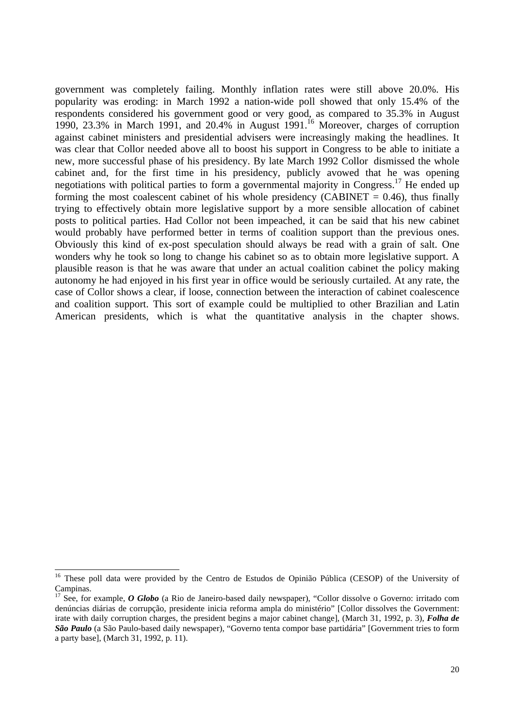government was completely failing. Monthly inflation rates were still above 20.0%. His popularity was eroding: in March 1992 a nation-wide poll showed that only 15.4% of the respondents considered his government good or very good, as compared to 35.3% in August 1990, 23.3% in March 1991, and 20.4% in August 1991.<sup>16</sup> Moreover, charges of corruption against cabinet ministers and presidential advisers were increasingly making the headlines. It was clear that Collor needed above all to boost his support in Congress to be able to initiate a new, more successful phase of his presidency. By late March 1992 Collor dismissed the whole cabinet and, for the first time in his presidency, publicly avowed that he was opening negotiations with political parties to form a governmental majority in Congress.<sup>17</sup> He ended up forming the most coalescent cabinet of his whole presidency (CABINET  $= 0.46$ ), thus finally trying to effectively obtain more legislative support by a more sensible allocation of cabinet posts to political parties. Had Collor not been impeached, it can be said that his new cabinet would probably have performed better in terms of coalition support than the previous ones. Obviously this kind of ex-post speculation should always be read with a grain of salt. One wonders why he took so long to change his cabinet so as to obtain more legislative support. A plausible reason is that he was aware that under an actual coalition cabinet the policy making autonomy he had enjoyed in his first year in office would be seriously curtailed. At any rate, the case of Collor shows a clear, if loose, connection between the interaction of cabinet coalescence and coalition support. This sort of example could be multiplied to other Brazilian and Latin American presidents, which is what the quantitative analysis in the chapter shows.

l

<sup>&</sup>lt;sup>16</sup> These poll data were provided by the Centro de Estudos de Opinião Pública (CESOP) of the University of Campinas.

<sup>&</sup>lt;sup>17</sup> See, for example, *O Globo* (a Rio de Janeiro-based daily newspaper), "Collor dissolve o Governo: irritado com denúncias diárias de corrupção, presidente inicia reforma ampla do ministério" [Collor dissolves the Government: irate with daily corruption charges, the president begins a major cabinet change], (March 31, 1992, p. 3), *Folha de São Paulo* (a São Paulo-based daily newspaper), "Governo tenta compor base partidária" [Government tries to form a party base], (March 31, 1992, p. 11).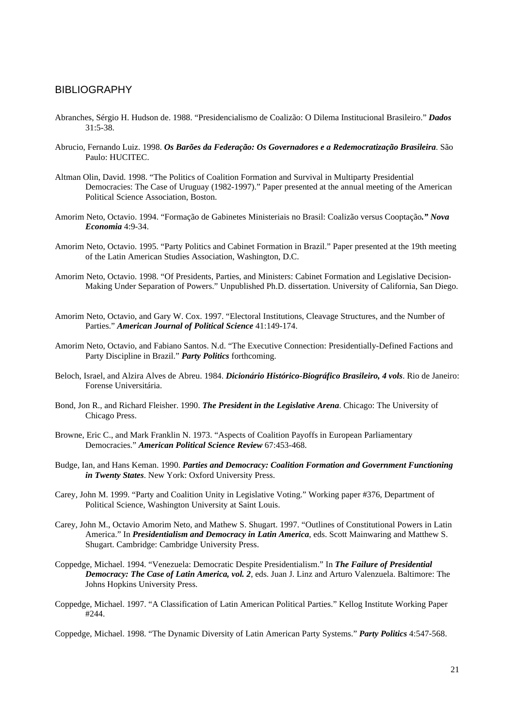#### **BIBLIOGRAPHY**

- Abranches, Sérgio H. Hudson de. 1988. "Presidencialismo de Coalizão: O Dilema Institucional Brasileiro." *Dados*  $31:5-38$ .
- Abrucio, Fernando Luiz. 1998. *Os Barões da Federação: Os Governadores e a Redemocratização Brasileira*. São Paulo: HUCITEC.
- Altman Olin, David. 1998. "The Politics of Coalition Formation and Survival in Multiparty Presidential Democracies: The Case of Uruguay (1982-1997)." Paper presented at the annual meeting of the American Political Science Association, Boston.
- Amorim Neto, Octavio. 1994. "Formação de Gabinetes Ministeriais no Brasil: Coalizão versus Cooptação*." Nova Economia* 4:9-34.
- Amorim Neto, Octavio. 1995. "Party Politics and Cabinet Formation in Brazil." Paper presented at the 19th meeting of the Latin American Studies Association, Washington, D.C.
- Amorim Neto, Octavio. 1998. "Of Presidents, Parties, and Ministers: Cabinet Formation and Legislative Decision-Making Under Separation of Powers." Unpublished Ph.D. dissertation. University of California, San Diego.
- Amorim Neto, Octavio, and Gary W. Cox. 1997. "Electoral Institutions, Cleavage Structures, and the Number of Parties." *American Journal of Political Science* 41:149-174.
- Amorim Neto, Octavio, and Fabiano Santos. N.d. "The Executive Connection: Presidentially-Defined Factions and Party Discipline in Brazil." *Party Politics* forthcoming.
- Beloch, Israel, and Alzira Alves de Abreu. 1984. *Dicionário Histórico-Biográfico Brasileiro, 4 vols*. Rio de Janeiro: Forense Universitária.
- Bond, Jon R., and Richard Fleisher. 1990. *The President in the Legislative Arena*. Chicago: The University of Chicago Press.
- Browne, Eric C., and Mark Franklin N. 1973. "Aspects of Coalition Payoffs in European Parliamentary Democracies." *American Political Science Review* 67:453-468.
- Budge, Ian, and Hans Keman. 1990. *Parties and Democracy: Coalition Formation and Government Functioning in Twenty States*. New York: Oxford University Press.
- Carey, John M. 1999. "Party and Coalition Unity in Legislative Voting." Working paper #376, Department of Political Science, Washington University at Saint Louis.
- Carey, John M., Octavio Amorim Neto, and Mathew S. Shugart. 1997. "Outlines of Constitutional Powers in Latin America." In *Presidentialism and Democracy in Latin America*, eds. Scott Mainwaring and Matthew S. Shugart. Cambridge: Cambridge University Press.
- Coppedge, Michael. 1994. "Venezuela: Democratic Despite Presidentialism." In *The Failure of Presidential Democracy: The Case of Latin America, vol. 2*, eds. Juan J. Linz and Arturo Valenzuela. Baltimore: The Johns Hopkins University Press.
- Coppedge, Michael. 1997. "A Classification of Latin American Political Parties." Kellog Institute Working Paper #244.

Coppedge, Michael. 1998. "The Dynamic Diversity of Latin American Party Systems." *Party Politics* 4:547-568.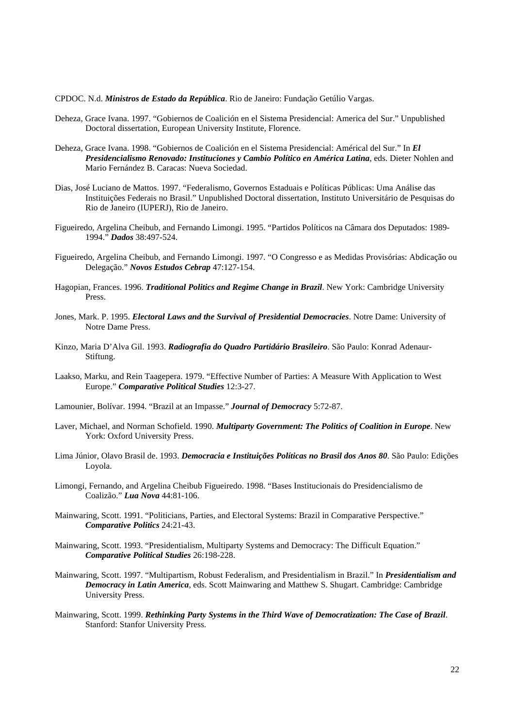CPDOC. N.d. *Ministros de Estado da República*. Rio de Janeiro: Fundação Getúlio Vargas.

- Deheza, Grace Ivana. 1997. "Gobiernos de Coalición en el Sistema Presidencial: America del Sur." Unpublished Doctoral dissertation, European University Institute, Florence.
- Deheza, Grace Ivana. 1998. "Gobiernos de Coalición en el Sistema Presidencial: Américal del Sur." In *El Presidencialismo Renovado: Instituciones y Cambio Político en América Latina*, eds. Dieter Nohlen and Mario Fernández B. Caracas: Nueva Sociedad.
- Dias, José Luciano de Mattos. 1997. "Federalismo, Governos Estaduais e Políticas Públicas: Uma Análise das Instituições Federais no Brasil." Unpublished Doctoral dissertation, Instituto Universitário de Pesquisas do Rio de Janeiro (IUPERJ), Rio de Janeiro.
- Figueiredo, Argelina Cheibub, and Fernando Limongi. 1995. "Partidos Políticos na Câmara dos Deputados: 1989- 1994." *Dados* 38:497-524.
- Figueiredo, Argelina Cheibub, and Fernando Limongi. 1997. "O Congresso e as Medidas Provisórias: Abdicação ou Delegação." *Novos Estudos Cebrap* 47:127-154.
- Hagopian, Frances. 1996. *Traditional Politics and Regime Change in Brazil*. New York: Cambridge University Press.
- Jones, Mark. P. 1995. *Electoral Laws and the Survival of Presidential Democracies*. Notre Dame: University of Notre Dame Press.
- Kinzo, Maria D'Alva Gil. 1993. *Radiografia do Quadro Partidário Brasileiro*. São Paulo: Konrad Adenaur-Stiftung.
- Laakso, Marku, and Rein Taagepera. 1979. "Effective Number of Parties: A Measure With Application to West Europe." *Comparative Political Studies* 12:3-27.
- Lamounier, Bolívar. 1994. "Brazil at an Impasse." *Journal of Democracy* 5:72-87.
- Laver, Michael, and Norman Schofield. 1990. *Multiparty Government: The Politics of Coalition in Europe*. New York: Oxford University Press.
- Lima Júnior, Olavo Brasil de. 1993. *Democracia e Instituições Políticas no Brasil dos Anos 80*. São Paulo: Edições Loyola.
- Limongi, Fernando, and Argelina Cheibub Figueiredo. 1998. "Bases Institucionais do Presidencialismo de Coalizão." *Lua Nova* 44:81-106.
- Mainwaring, Scott. 1991. "Politicians, Parties, and Electoral Systems: Brazil in Comparative Perspective." *Comparative Politics* 24:21-43.
- Mainwaring, Scott. 1993. "Presidentialism, Multiparty Systems and Democracy: The Difficult Equation." *Comparative Political Studies* 26:198-228.
- Mainwaring, Scott. 1997. "Multipartism, Robust Federalism, and Presidentialism in Brazil." In *Presidentialism and Democracy in Latin America*, eds. Scott Mainwaring and Matthew S. Shugart. Cambridge: Cambridge University Press.
- Mainwaring, Scott. 1999. *Rethinking Party Systems in the Third Wave of Democratization: The Case of Brazil*. Stanford: Stanfor University Press.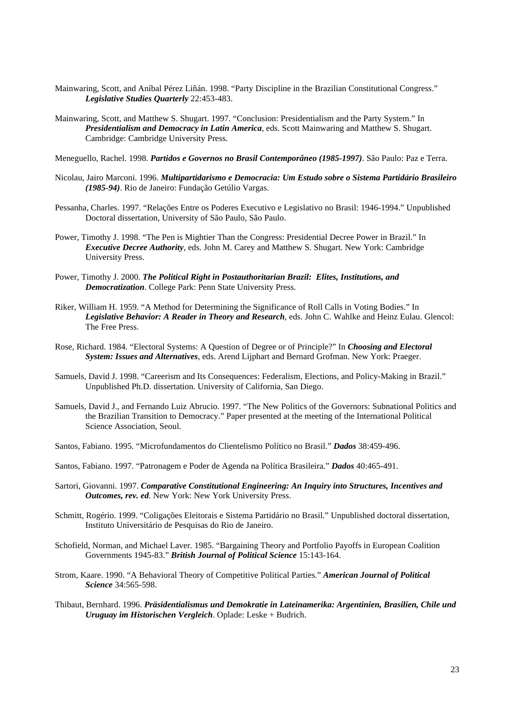- Mainwaring, Scott, and Aníbal Pérez Liñán. 1998. "Party Discipline in the Brazilian Constitutional Congress." *Legislative Studies Quarterly* 22:453-483.
- Mainwaring, Scott, and Matthew S. Shugart. 1997. "Conclusion: Presidentialism and the Party System." In *Presidentialism and Democracy in Latin America*, eds. Scott Mainwaring and Matthew S. Shugart. Cambridge: Cambridge University Press.

Meneguello, Rachel. 1998. *Partidos e Governos no Brasil Contemporâneo (1985-1997)*. São Paulo: Paz e Terra.

- Nicolau, Jairo Marconi. 1996. *Multipartidarismo e Democracia: Um Estudo sobre o Sistema Partidário Brasileiro (1985-94)*. Rio de Janeiro: Fundação Getúlio Vargas.
- Pessanha, Charles. 1997. "Relações Entre os Poderes Executivo e Legislativo no Brasil: 1946-1994." Unpublished Doctoral dissertation, University of São Paulo, São Paulo.
- Power, Timothy J. 1998. "The Pen is Mightier Than the Congress: Presidential Decree Power in Brazil." In *Executive Decree Authority*, eds. John M. Carey and Matthew S. Shugart. New York: Cambridge University Press.
- Power, Timothy J. 2000. *The Political Right in Postauthoritarian Brazil: Elites, Institutions, and Democratization*. College Park: Penn State University Press.
- Riker, William H. 1959. "A Method for Determining the Significance of Roll Calls in Voting Bodies." In *Legislative Behavior: A Reader in Theory and Research*, eds. John C. Wahlke and Heinz Eulau. Glencol: The Free Press.
- Rose, Richard. 1984. "Electoral Systems: A Question of Degree or of Principle?" In *Choosing and Electoral System: Issues and Alternatives*, eds. Arend Lijphart and Bernard Grofman. New York: Praeger.
- Samuels, David J. 1998. "Careerism and Its Consequences: Federalism, Elections, and Policy-Making in Brazil." Unpublished Ph.D. dissertation. University of California, San Diego.
- Samuels, David J., and Fernando Luiz Abrucio. 1997. "The New Politics of the Governors: Subnational Politics and the Brazilian Transition to Democracy." Paper presented at the meeting of the International Political Science Association, Seoul.
- Santos, Fabiano. 1995. "Microfundamentos do Clientelismo Político no Brasil." *Dados* 38:459-496.
- Santos, Fabiano. 1997. "Patronagem e Poder de Agenda na Política Brasileira." *Dados* 40:465-491.
- Sartori, Giovanni. 1997. *Comparative Constitutional Engineering: An Inquiry into Structures, Incentives and Outcomes, rev. ed*. New York: New York University Press.
- Schmitt, Rogério. 1999. "Coligações Eleitorais e Sistema Partidário no Brasil." Unpublished doctoral dissertation, Instituto Universitário de Pesquisas do Rio de Janeiro.
- Schofield, Norman, and Michael Laver. 1985. "Bargaining Theory and Portfolio Payoffs in European Coalition Governments 1945-83." *British Journal of Political Science* 15:143-164.
- Strom, Kaare. 1990. "A Behavioral Theory of Competitive Political Parties." *American Journal of Political Science* 34:565-598.
- Thibaut, Bernhard. 1996. *Präsidentialismus und Demokratie in Lateinamerika: Argentinien, Brasilien, Chile und Uruguay im Historischen Vergleich*. Oplade: Leske + Budrich.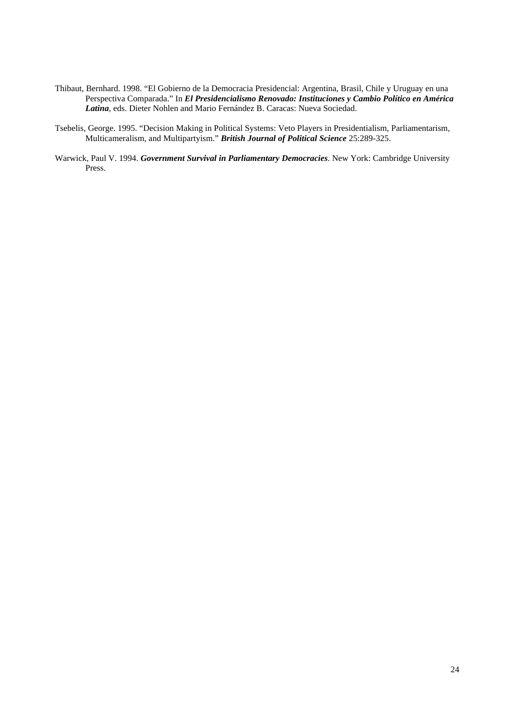- Thibaut, Bernhard. 1998. "El Gobierno de la Democracia Presidencial: Argentina, Brasil, Chile y Uruguay en una Perspectiva Comparada." In *El Presidencialismo Renovado: Instituciones y Cambio Político en América Latina*, eds. Dieter Nohlen and Mario Fernández B. Caracas: Nueva Sociedad.
- Tsebelis, George. 1995. "Decision Making in Political Systems: Veto Players in Presidentialism, Parliamentarism, Multicameralism, and Multipartyism." *British Journal of Political Science* 25:289-325.
- Warwick, Paul V. 1994. *Government Survival in Parliamentary Democracies*. New York: Cambridge University Press.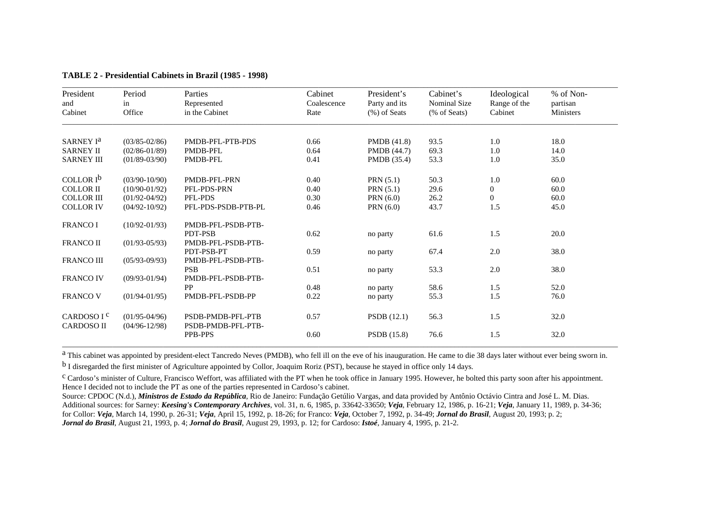| TABLE 2 - Presidential Cabinets in Brazil (1985 - 1998) |  |  |
|---------------------------------------------------------|--|--|
|---------------------------------------------------------|--|--|

| President<br>and<br>Cabinet       | Period<br>in<br>Office | Parties<br>Represented<br>in the Cabinet | Cabinet<br>Coalescence<br>Rate | President's<br>Party and its<br>$(\%)$ of Seats | Cabinet's<br><b>Nominal Size</b><br>(% of Seats) | Ideological<br>Range of the<br>Cabinet | % of Non-<br>partisan<br>Ministers |
|-----------------------------------|------------------------|------------------------------------------|--------------------------------|-------------------------------------------------|--------------------------------------------------|----------------------------------------|------------------------------------|
| SARNEY I <sup>a</sup>             | $(03/85 - 02/86)$      | PMDB-PFL-PTB-PDS                         | 0.66                           | <b>PMDB</b> (41.8)                              | 93.5                                             | 1.0                                    | 18.0                               |
| <b>SARNEY II</b>                  | $(02/86 - 01/89)$      | <b>PMDB-PFL</b>                          | 0.64                           | <b>PMDB</b> (44.7)                              | 69.3                                             | 1.0                                    | 14.0                               |
| <b>SARNEY III</b>                 | $(01/89 - 03/90)$      | <b>PMDB-PFL</b>                          | 0.41                           | PMDB (35.4)                                     | 53.3                                             | 1.0                                    | 35.0                               |
| COLLOR $I^b$                      | $(03/90-10/90)$        | <b>PMDB-PFL-PRN</b>                      | 0.40                           | PRN(5.1)                                        | 50.3                                             | 1.0                                    | 60.0                               |
| <b>COLLOR II</b>                  | $(10/90 - 01/92)$      | PFL-PDS-PRN                              | 0.40                           | PRN $(5.1)$                                     | 29.6                                             | $\overline{0}$                         | 60.0                               |
| <b>COLLOR III</b>                 | $(01/92 - 04/92)$      | PFL-PDS                                  | 0.30                           | PRN $(6.0)$                                     | 26.2                                             | $\Omega$                               | 60.0                               |
| <b>COLLOR IV</b>                  | $(04/92 - 10/92)$      | PFL-PDS-PSDB-PTB-PL                      | 0.46                           | PRN (6.0)                                       | 43.7                                             | 1.5                                    | 45.0                               |
| <b>FRANCO I</b>                   | $(10/92 - 01/93)$      | PMDB-PFL-PSDB-PTB-                       |                                |                                                 |                                                  |                                        |                                    |
|                                   |                        | PDT-PSB<br>PMDB-PFL-PSDB-PTB-            | 0.62                           | no party                                        | 61.6                                             | 1.5                                    | 20.0                               |
| <b>FRANCO II</b>                  | $(01/93 - 05/93)$      | PDT-PSB-PT                               | 0.59                           | no party                                        | 67.4                                             | 2.0                                    | 38.0                               |
| <b>FRANCO III</b>                 | $(05/93-09/93)$        | PMDB-PFL-PSDB-PTB-                       |                                |                                                 |                                                  |                                        |                                    |
|                                   |                        | <b>PSB</b>                               | 0.51                           | no party                                        | 53.3                                             | 2.0                                    | 38.0                               |
| <b>FRANCO IV</b>                  | $(09/93 - 01/94)$      | PMDB-PFL-PSDB-PTB-<br>PP                 |                                |                                                 |                                                  |                                        |                                    |
|                                   |                        | PMDB-PFL-PSDB-PP                         | 0.48                           | no party                                        | 58.6                                             | 1.5<br>1.5                             | 52.0<br>76.0                       |
| <b>FRANCO V</b>                   | $(01/94 - 01/95)$      |                                          | 0.22                           | no party                                        | 55.3                                             |                                        |                                    |
| CARDOSO <sub>I</sub> <sup>c</sup> | $(01/95 - 04/96)$      | PSDB-PMDB-PFL-PTB                        | 0.57                           | <b>PSDB</b> (12.1)                              | 56.3                                             | 1.5                                    | 32.0                               |
| <b>CARDOSO II</b>                 | $(04/96 - 12/98)$      | PSDB-PMDB-PFL-PTB-                       |                                |                                                 |                                                  |                                        |                                    |
|                                   |                        | PPB-PPS                                  | 0.60                           | <b>PSDB</b> (15.8)                              | 76.6                                             | 1.5                                    | 32.0                               |

<sup>a</sup> This cabinet was appointed by president-elect Tancredo Neves (PMDB), who fell ill on the eve of his inauguration. He came to die 38 days later without ever being sworn in.

b I disregarded the first minister of Agriculture appointed by Collor, Joaquim Roriz (PST), because he stayed in office only 14 days.

<sup>c</sup> Cardoso's minister of Culture, Francisco Weffort, was affiliated with the PT when he took office in January 1995. However, he bolted this party soon after his appointment. Hence I decided not to include the PT as one of the parties represented in Cardoso's cabinet.

Source: CPDOC (N.d.), *Ministros de Estado da República*, Rio de Janeiro: Fundação Getúlio Vargas, and data provided by Antônio Octávio Cintra and José L. M. Dias. Additional sources: for Sarney: *Keesing's Contemporary Archives*, vol. 31, n. 6, 1985, p. 33642-33650; *Veja*, February 12, 1986, p. 16-21; *Veja*, January 11, 1989, p. 34-36; for Collor: *Veja*, March 14, 1990, p. 26-31; *Veja*, April 15, 1992, p. 18-26; for Franco: *Veja*, October 7, 1992, p. 34-49; *Jornal do Brasil*, August 20, 1993; p. 2; *Jornal do Brasil*, August 21, 1993, p. 4; *Jornal do Brasil*, August 29, 1993, p. 12; for Cardoso: *Istoé*, January 4, 1995, p. 21-2.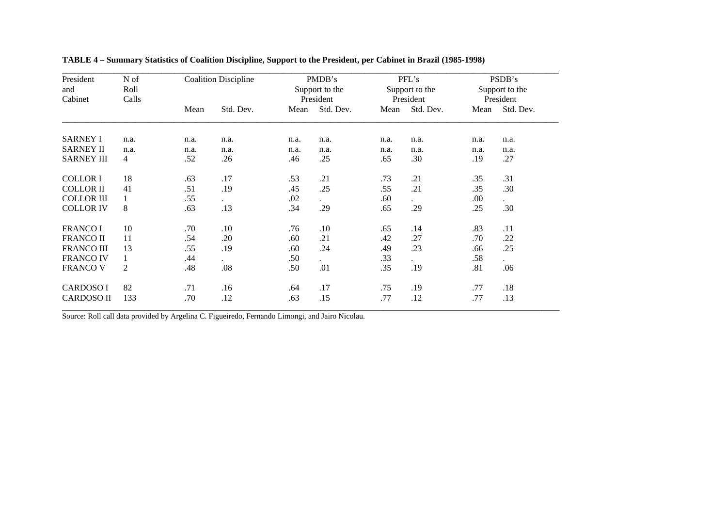| N of<br>President<br>Roll<br>and<br>Cabinet<br>Calls |      | <b>Coalition Discipline</b> |                      | PMDB's<br>Support to the<br>President |                      | PFL's<br>Support to the<br>President |                      | PSDB's<br>Support to the<br>President |      |
|------------------------------------------------------|------|-----------------------------|----------------------|---------------------------------------|----------------------|--------------------------------------|----------------------|---------------------------------------|------|
|                                                      | Mean | Std. Dev.                   | Mean                 | Std. Dev.                             | Mean                 | Std. Dev.                            | Mean                 | Std. Dev.                             |      |
| <b>SARNEY I</b>                                      | n.a. | n.a.                        | n.a.                 | n.a.                                  | n.a.                 | n.a.                                 | n.a.                 | n.a.                                  | n.a. |
| <b>SARNEY II</b>                                     | n.a. | n.a.                        | n.a.                 | n.a.                                  | n.a.                 | n.a.                                 | n.a.                 | n.a.                                  | n.a. |
| <b>SARNEY III</b>                                    | 4    | .52                         | .26                  | .46                                   | .25                  | .65                                  | .30                  | .19                                   | .27  |
| <b>COLLOR I</b>                                      | 18   | .63                         | .17                  | .53                                   | .21                  | .73                                  | .21                  | .35                                   | .31  |
| <b>COLLOR II</b>                                     | 41   | .51                         | .19                  | .45                                   | .25                  | .55                                  | .21                  | .35                                   | .30  |
| <b>COLLOR III</b>                                    | 1    | .55                         | $\ddot{\phantom{0}}$ | .02                                   | $\ddot{\phantom{0}}$ | .60                                  |                      | .00                                   |      |
| <b>COLLOR IV</b>                                     | 8    | .63                         | .13                  | .34                                   | .29                  | .65                                  | .29                  | .25                                   | .30  |
| <b>FRANCO I</b>                                      | 10   | .70                         | .10                  | .76                                   | .10                  | .65                                  | .14                  | .83                                   | .11  |
| <b>FRANCO II</b>                                     | 11   | .54                         | .20                  | .60                                   | .21                  | .42                                  | .27                  | .70                                   | .22  |
| <b>FRANCO III</b>                                    | 13   | .55                         | .19                  | .60                                   | .24                  | .49                                  | .23                  | .66                                   | .25  |
| <b>FRANCO IV</b>                                     | 1    | .44                         | $\bullet$            | .50                                   | $\ddot{\phantom{0}}$ | .33                                  | $\ddot{\phantom{0}}$ | .58                                   |      |
| <b>FRANCO V</b>                                      | 2    | .48                         | .08                  | .50                                   | .01                  | .35                                  | .19                  | .81                                   | .06  |
| <b>CARDOSOI</b>                                      | 82   | .71                         | .16                  | .64                                   | .17                  | .75                                  | .19                  | .77                                   | .18  |
| <b>CARDOSO II</b>                                    | 133  | .70                         | .12                  | .63                                   | .15                  | .77                                  | .12                  | .77                                   | .13  |

**TABLE 4 – Summary Statistics of Coalition Discipline, Support to the President, per Cabinet in Brazil (1985-1998)**

Source: Roll call data provided by Argelina C. Figueiredo, Fernando Limongi, and Jairo Nicolau.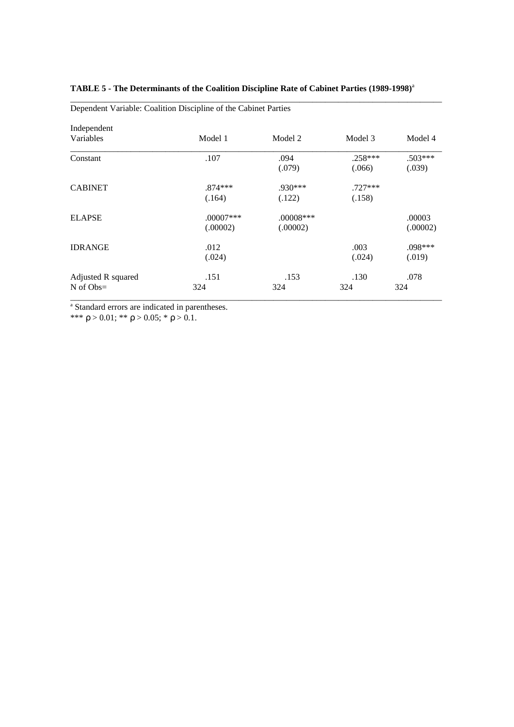## **TABLE 5 - The Determinants of the Coalition Discipline Rate of Cabinet Parties (1989-1998)**<sup>a</sup>

\_\_\_\_\_\_\_\_\_\_\_\_\_\_\_\_\_\_\_\_\_\_\_\_\_\_\_\_\_\_\_\_\_\_\_\_\_\_\_\_\_\_\_\_\_\_\_\_\_\_\_\_\_\_\_\_\_\_\_\_\_\_\_\_\_\_\_\_\_\_\_\_\_\_\_\_\_\_\_\_\_\_\_\_\_\_

| Independent<br>Variables                                   | Model 1      | Model 2   | Model 3   | Model 4   |
|------------------------------------------------------------|--------------|-----------|-----------|-----------|
|                                                            |              |           |           |           |
| Constant                                                   | .107         | .094      | $.258***$ | $.503***$ |
|                                                            |              | (.079)    | (.066)    | (.039)    |
| <b>CABINET</b>                                             | $.874***$    | $.930***$ | $.727***$ |           |
|                                                            | (.164)       | (.122)    | (.158)    |           |
| <b>ELAPSE</b>                                              | $.00007$ *** | .00008*** |           | .00003    |
|                                                            | (.00002)     | (.00002)  |           | (.00002)  |
| <b>IDRANGE</b>                                             | .012         |           | .003      | $.098***$ |
|                                                            | (.024)       |           | (.024)    | (.019)    |
| Adjusted R squared                                         | .151         | .153      | .130      | .078      |
| $N$ of Obs=                                                | 324          | 324       | 324       | 324       |
| <sup>a</sup> Standard errors are indicated in parentheses. |              |           |           |           |

Dependent Variable: Coalition Discipline of the Cabinet Parties

\*\*\*  $\rho > 0.01$ ; \*\*  $\rho > 0.05$ ; \*  $\rho > 0.1$ .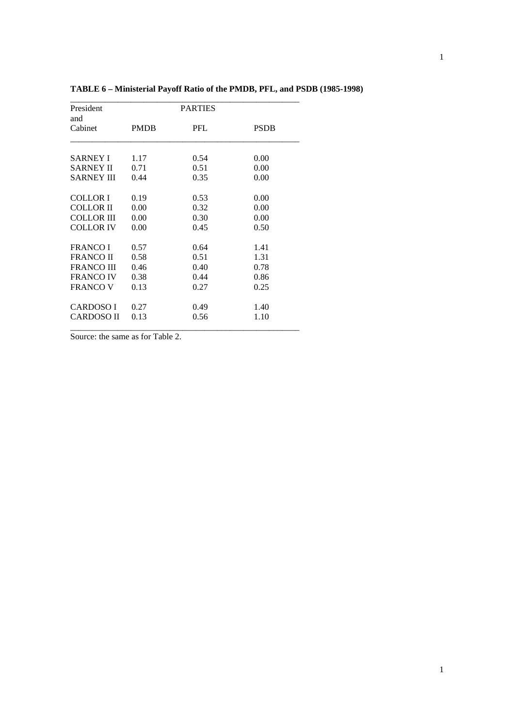| President<br>and  |             | <b>PARTIES</b> |             |
|-------------------|-------------|----------------|-------------|
| Cabinet           | <b>PMDB</b> | <b>PFL</b>     | <b>PSDB</b> |
| SARNEY I          | 1.17        | 0.54           | 0.00        |
| <b>SARNEY II</b>  | 0.71        | 0.51           | 0.00        |
| SARNEY III        | 0.44        | 0.35           | 0.00        |
| <b>COLLOR I</b>   | 0.19        | 0.53           | 0.00        |
| <b>COLLOR II</b>  | 0.00        | 0.32           | 0.00        |
| <b>COLLOR III</b> | 0.00        | 0.30           | 0.00        |
| <b>COLLOR IV</b>  | 0.00        | 0.45           | 0.50        |
| <b>FRANCO I</b>   | 0.57        | 0.64           | 1.41        |
| <b>FRANCO II</b>  | 0.58        | 0.51           | 1.31        |
| <b>FRANCO III</b> | 0.46        | 0.40           | 0.78        |
| <b>FRANCO IV</b>  | 0.38        | 0.44           | 0.86        |
| <b>FRANCO V</b>   | 0.13        | 0.27           | 0.25        |
| <b>CARDOSO I</b>  | 0.27        | 0.49           | 1.40        |
| CARDOSO II        | 0.13        | 0.56           | 1.10        |

**TABLE 6 – Ministerial Payoff Ratio of the PMDB, PFL, and PSDB (1985-1998)**

Source: the same as for Table 2.